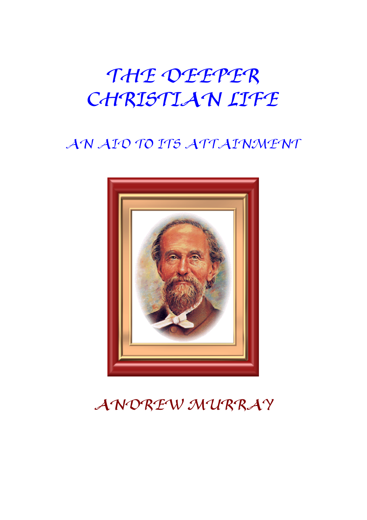# **THE DEEPER CHRISTIAN LIFE**

## AN AID TO ITS ATTAINMENT



# **ANDREW MURRAY**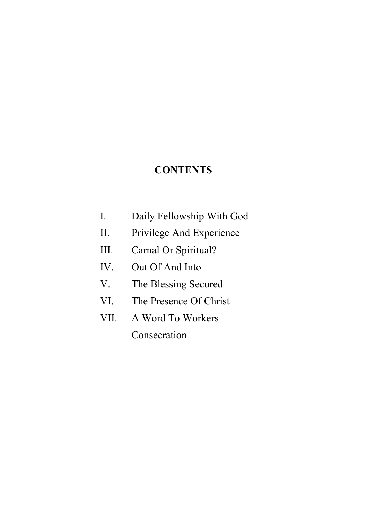### **CONTENTS**

| I.          | Daily Fellowship With God |
|-------------|---------------------------|
| Π.          | Privilege And Experience  |
| III.        | Carnal Or Spiritual?      |
| IV.         | Out Of And Into           |
| V.          | The Blessing Secured      |
| VI.         | The Presence Of Christ    |
| <b>1711</b> | A Word To Workers         |

VII. A Word To Workers Consecration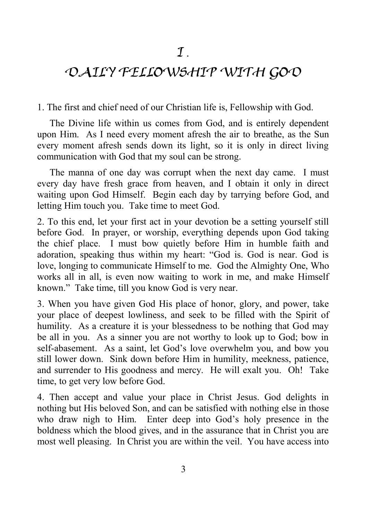### **DAILY FELLOWSHIP WITH GOD**

1. The first and chief need of our Christian life is, Fellowship with God.

The Divine life within us comes from God, and is entirely dependent upon Him. As I need every moment afresh the air to breathe, as the Sun every moment afresh sends down its light, so it is only in direct living communication with God that my soul can be strong.

The manna of one day was corrupt when the next day came. I must every day have fresh grace from heaven, and I obtain it only in direct waiting upon God Himself. Begin each day by tarrying before God, and letting Him touch you. Take time to meet God.

2. To this end, let your first act in your devotion be a setting yourself still before God. In prayer, or worship, everything depends upon God taking the chief place. I must bow quietly before Him in humble faith and adoration, speaking thus within my heart: "God is. God is near. God is love, longing to communicate Himself to me. God the Almighty One, Who works all in all, is even now waiting to work in me, and make Himself known." Take time, till you know God is very near.

3. When you have given God His place of honor, glory, and power, take your place of deepest lowliness, and seek to be filled with the Spirit of humility. As a creature it is your blessedness to be nothing that God may be all in you. As a sinner you are not worthy to look up to God; bow in self-abasement. As a saint, let God's love overwhelm you, and bow you still lower down. Sink down before Him in humility, meekness, patience, and surrender to His goodness and mercy. He will exalt you. Oh! Take time, to get very low before God.

4. Then accept and value your place in Christ Jesus. God delights in nothing but His beloved Son, and can be satisfied with nothing else in those who draw nigh to Him. Enter deep into God's holy presence in the boldness which the blood gives, and in the assurance that in Christ you are most well pleasing. In Christ you are within the veil. You have access into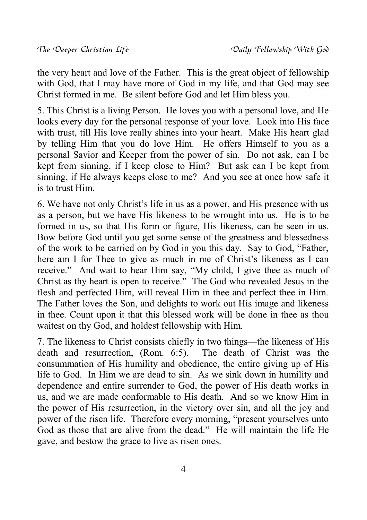the very heart and love of the Father. This is the great object of fellowship with God, that I may have more of God in my life, and that God may see Christ formed in me. Be silent before God and let Him bless you.

5. This Christ is a living Person. He loves you with a personal love, and He looks every day for the personal response of your love. Look into His face with trust, till His love really shines into your heart. Make His heart glad by telling Him that you do love Him. He offers Himself to you as a personal Savior and Keeper from the power of sin. Do not ask, can I be kept from sinning, if I keep close to Him? But ask can I be kept from sinning, if He always keeps close to me? And you see at once how safe it is to trust Him.

6. We have not only Christ's life in us as a power, and His presence with us as a person, but we have His likeness to be wrought into us. He is to be formed in us, so that His form or figure, His likeness, can be seen in us. Bow before God until you get some sense of the greatness and blessedness of the work to be carried on by God in you this day. Say to God, "Father, here am I for Thee to give as much in me of Christ's likeness as I can receive." And wait to hear Him say, "My child, I give thee as much of Christ as thy heart is open to receive." The God who revealed Jesus in the flesh and perfected Him, will reveal Him in thee and perfect thee in Him. The Father loves the Son, and delights to work out His image and likeness in thee. Count upon it that this blessed work will be done in thee as thou waitest on thy God, and holdest fellowship with Him.

7. The likeness to Christ consists chiefly in two things—the likeness of His death and resurrection, (Rom. 6:5). The death of Christ was the consummation of His humility and obedience, the entire giving up of His life to God. In Him we are dead to sin. As we sink down in humility and dependence and entire surrender to God, the power of His death works in us, and we are made conformable to His death. And so we know Him in the power of His resurrection, in the victory over sin, and all the joy and power of the risen life. Therefore every morning, "present yourselves unto God as those that are alive from the dead." He will maintain the life He gave, and bestow the grace to live as risen ones.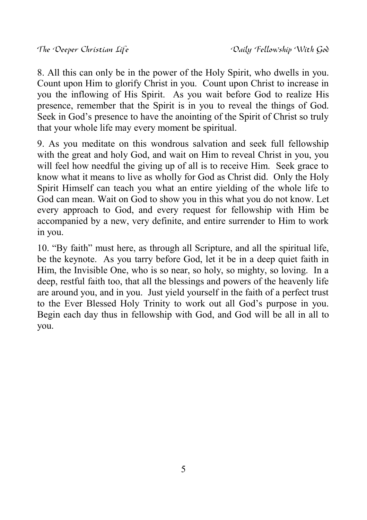8. All this can only be in the power of the Holy Spirit, who dwells in you. Count upon Him to glorify Christ in you. Count upon Christ to increase in you the inflowing of His Spirit. As you wait before God to realize His presence, remember that the Spirit is in you to reveal the things of God. Seek in God's presence to have the anointing of the Spirit of Christ so truly that your whole life may every moment be spiritual.

9. As you meditate on this wondrous salvation and seek full fellowship with the great and holy God, and wait on Him to reveal Christ in you, you will feel how needful the giving up of all is to receive Him. Seek grace to know what it means to live as wholly for God as Christ did. Only the Holy Spirit Himself can teach you what an entire yielding of the whole life to God can mean. Wait on God to show you in this what you do not know. Let every approach to God, and every request for fellowship with Him be accompanied by a new, very definite, and entire surrender to Him to work in you.

10. "By faith" must here, as through all Scripture, and all the spiritual life, be the keynote. As you tarry before God, let it be in a deep quiet faith in Him, the Invisible One, who is so near, so holy, so mighty, so loving. In a deep, restful faith too, that all the blessings and powers of the heavenly life are around you, and in you. Just yield yourself in the faith of a perfect trust to the Ever Blessed Holy Trinity to work out all God's purpose in you. Begin each day thus in fellowship with God, and God will be all in all to you.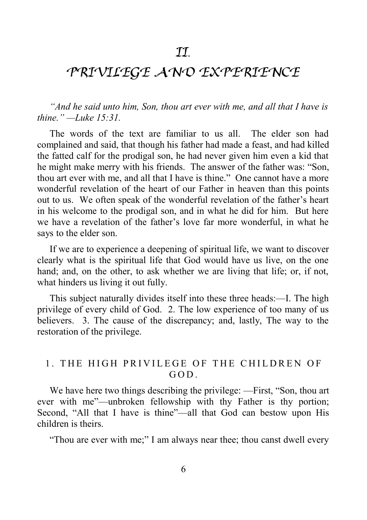### **PRIVILEGE AND EXPERIENCE**

*"And he said unto him, Son, thou art ever with me, and all that I have is thine." —Luke 15:31.*

The words of the text are familiar to us all. The elder son had complained and said, that though his father had made a feast, and had killed the fatted calf for the prodigal son, he had never given him even a kid that he might make merry with his friends. The answer of the father was: "Son, thou art ever with me, and all that I have is thine." One cannot have a more wonderful revelation of the heart of our Father in heaven than this points out to us. We often speak of the wonderful revelation of the father's heart in his welcome to the prodigal son, and in what he did for him. But here we have a revelation of the father's love far more wonderful, in what he says to the elder son.

If we are to experience a deepening of spiritual life, we want to discover clearly what is the spiritual life that God would have us live, on the one hand; and, on the other, to ask whether we are living that life; or, if not, what hinders us living it out fully.

This subject naturally divides itself into these three heads:—I. The high privilege of every child of God. 2. The low experience of too many of us believers. 3. The cause of the discrepancy; and, lastly, The way to the restoration of the privilege.

#### 1 THE HIGH PRIVILEGE OF THE CHILDREN OF  $GOD$

We have here two things describing the privilege: —First, "Son, thou art ever with me"—unbroken fellowship with thy Father is thy portion; Second, "All that I have is thine"—all that God can bestow upon His children is theirs.

"Thou are ever with me;" I am always near thee; thou canst dwell every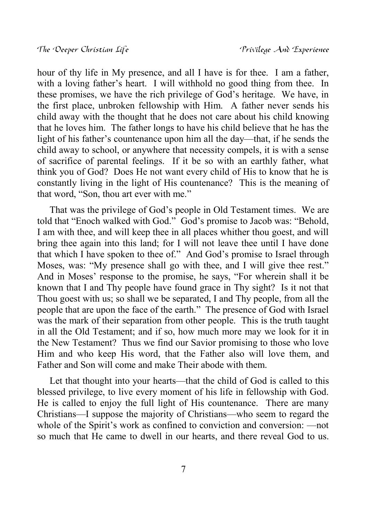hour of thy life in My presence, and all I have is for thee. I am a father, with a loving father's heart. I will withhold no good thing from thee. In these promises, we have the rich privilege of God's heritage. We have, in the first place, unbroken fellowship with Him. A father never sends his child away with the thought that he does not care about his child knowing that he loves him. The father longs to have his child believe that he has the light of his father's countenance upon him all the day—that, if he sends the child away to school, or anywhere that necessity compels, it is with a sense of sacrifice of parental feelings. If it be so with an earthly father, what think you of God? Does He not want every child of His to know that he is constantly living in the light of His countenance? This is the meaning of that word, "Son, thou art ever with me."

That was the privilege of God's people in Old Testament times. We are told that "Enoch walked with God." God's promise to Jacob was: "Behold, I am with thee, and will keep thee in all places whither thou goest, and will bring thee again into this land; for I will not leave thee until I have done that which I have spoken to thee of." And God's promise to Israel through Moses, was: "My presence shall go with thee, and I will give thee rest." And in Moses' response to the promise, he says, "For wherein shall it be known that I and Thy people have found grace in Thy sight? Is it not that Thou goest with us; so shall we be separated, I and Thy people, from all the people that are upon the face of the earth." The presence of God with Israel was the mark of their separation from other people. This is the truth taught in all the Old Testament; and if so, how much more may we look for it in the New Testament? Thus we find our Savior promising to those who love Him and who keep His word, that the Father also will love them, and Father and Son will come and make Their abode with them.

Let that thought into your hearts—that the child of God is called to this blessed privilege, to live every moment of his life in fellowship with God. He is called to enjoy the full light of His countenance. There are many Christians—I suppose the majority of Christians—who seem to regard the whole of the Spirit's work as confined to conviction and conversion: —not so much that He came to dwell in our hearts, and there reveal God to us.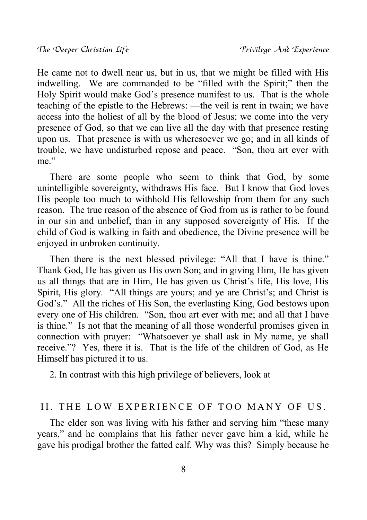He came not to dwell near us, but in us, that we might be filled with His indwelling. We are commanded to be "filled with the Spirit;" then the Holy Spirit would make God's presence manifest to us. That is the whole teaching of the epistle to the Hebrews: —the veil is rent in twain; we have access into the holiest of all by the blood of Jesus; we come into the very presence of God, so that we can live all the day with that presence resting upon us. That presence is with us wheresoever we go; and in all kinds of trouble, we have undisturbed repose and peace. "Son, thou art ever with me."

There are some people who seem to think that God, by some unintelligible sovereignty, withdraws His face. But I know that God loves His people too much to withhold His fellowship from them for any such reason. The true reason of the absence of God from us is rather to be found in our sin and unbelief, than in any supposed sovereignty of His. If the child of God is walking in faith and obedience, the Divine presence will be enjoyed in unbroken continuity.

Then there is the next blessed privilege: "All that I have is thine." Thank God, He has given us His own Son; and in giving Him, He has given us all things that are in Him, He has given us Christ's life, His love, His Spirit, His glory. "All things are yours; and ye are Christ's; and Christ is God's." All the riches of His Son, the everlasting King, God bestows upon every one of His children. "Son, thou art ever with me; and all that I have is thine." Is not that the meaning of all those wonderful promises given in connection with prayer: "Whatsoever ye shall ask in My name, ye shall receive."? Yes, there it is. That is the life of the children of God, as He Himself has pictured it to us.

2. In contrast with this high privilege of believers, look at

#### II. THE LOW EXPERIENCE OF TOO MANY OF US.

The elder son was living with his father and serving him "these many years," and he complains that his father never gave him a kid, while he gave his prodigal brother the fatted calf. Why was this? Simply because he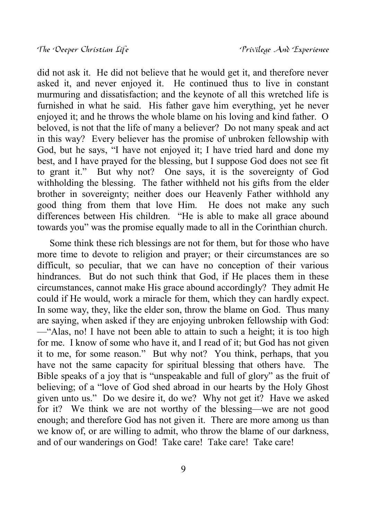did not ask it. He did not believe that he would get it, and therefore never asked it, and never enjoyed it. He continued thus to live in constant murmuring and dissatisfaction; and the keynote of all this wretched life is furnished in what he said. His father gave him everything, yet he never enjoyed it; and he throws the whole blame on his loving and kind father. O beloved, is not that the life of many a believer? Do not many speak and act in this way? Every believer has the promise of unbroken fellowship with God, but he says, "I have not enjoyed it; I have tried hard and done my best, and I have prayed for the blessing, but I suppose God does not see fit to grant it." But why not? One says, it is the sovereignty of God withholding the blessing. The father withheld not his gifts from the elder brother in sovereignty; neither does our Heavenly Father withhold any good thing from them that love Him. He does not make any such differences between His children. "He is able to make all grace abound towards you" was the promise equally made to all in the Corinthian church.

Some think these rich blessings are not for them, but for those who have more time to devote to religion and prayer; or their circumstances are so difficult, so peculiar, that we can have no conception of their various hindrances. But do not such think that God, if He places them in these circumstances, cannot make His grace abound accordingly? They admit He could if He would, work a miracle for them, which they can hardly expect. In some way, they, like the elder son, throw the blame on God. Thus many are saying, when asked if they are enjoying unbroken fellowship with God: —"Alas, no! I have not been able to attain to such a height; it is too high for me. I know of some who have it, and I read of it; but God has not given it to me, for some reason." But why not? You think, perhaps, that you have not the same capacity for spiritual blessing that others have. The Bible speaks of a joy that is "unspeakable and full of glory" as the fruit of believing; of a "love of God shed abroad in our hearts by the Holy Ghost given unto us." Do we desire it, do we? Why not get it? Have we asked for it? We think we are not worthy of the blessing—we are not good enough; and therefore God has not given it. There are more among us than we know of, or are willing to admit, who throw the blame of our darkness, and of our wanderings on God! Take care! Take care! Take care!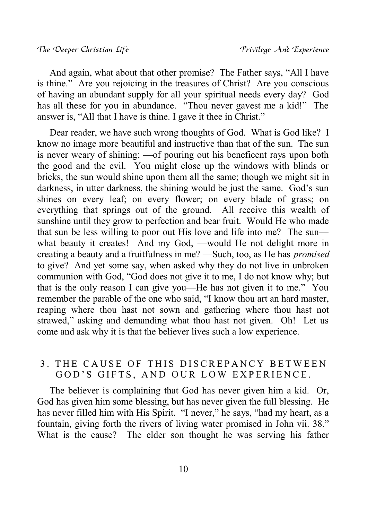And again, what about that other promise? The Father says, "All I have is thine." Are you rejoicing in the treasures of Christ? Are you conscious of having an abundant supply for all your spiritual needs every day? God has all these for you in abundance. "Thou never gavest me a kid!" The answer is, "All that I have is thine. I gave it thee in Christ."

Dear reader, we have such wrong thoughts of God. What is God like? I know no image more beautiful and instructive than that of the sun. The sun is never weary of shining; —of pouring out his beneficent rays upon both the good and the evil. You might close up the windows with blinds or bricks, the sun would shine upon them all the same; though we might sit in darkness, in utter darkness, the shining would be just the same. God's sun shines on every leaf; on every flower; on every blade of grass; on everything that springs out of the ground. All receive this wealth of sunshine until they grow to perfection and bear fruit. Would He who made that sun be less willing to poor out His love and life into me? The sun what beauty it creates! And my God, —would He not delight more in creating a beauty and a fruitfulness in me? —Such, too, as He has *promised* to give? And yet some say, when asked why they do not live in unbroken communion with God, "God does not give it to me, I do not know why; but that is the only reason I can give you—He has not given it to me." You remember the parable of the one who said, "I know thou art an hard master, reaping where thou hast not sown and gathering where thou hast not strawed," asking and demanding what thou hast not given. Oh! Let us come and ask why it is that the believer lives such a low experience.

### 3. THE CAUSE OF THIS DISCREPANCY BETWEEN GOD'S GIFTS, AND OUR LOW EXPERIENCE.

The believer is complaining that God has never given him a kid. Or, God has given him some blessing, but has never given the full blessing. He has never filled him with His Spirit. "I never," he says, "had my heart, as a fountain, giving forth the rivers of living water promised in John vii. 38." What is the cause? The elder son thought he was serving his father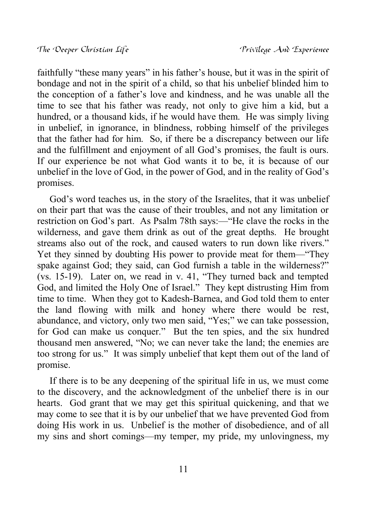faithfully "these many years" in his father's house, but it was in the spirit of bondage and not in the spirit of a child, so that his unbelief blinded him to the conception of a father's love and kindness, and he was unable all the time to see that his father was ready, not only to give him a kid, but a hundred, or a thousand kids, if he would have them. He was simply living in unbelief, in ignorance, in blindness, robbing himself of the privileges that the father had for him. So, if there be a discrepancy between our life and the fulfillment and enjoyment of all God's promises, the fault is ours. If our experience be not what God wants it to be, it is because of our unbelief in the love of God, in the power of God, and in the reality of God's promises.

God's word teaches us, in the story of the Israelites, that it was unbelief on their part that was the cause of their troubles, and not any limitation or restriction on God's part. As Psalm 78th says:—"He clave the rocks in the wilderness, and gave them drink as out of the great depths. He brought streams also out of the rock, and caused waters to run down like rivers." Yet they sinned by doubting His power to provide meat for them—"They spake against God; they said, can God furnish a table in the wilderness?" (vs. 15-19). Later on, we read in v. 41, "They turned back and tempted God, and limited the Holy One of Israel." They kept distrusting Him from time to time. When they got to Kadesh-Barnea, and God told them to enter the land flowing with milk and honey where there would be rest, abundance, and victory, only two men said, "Yes;" we can take possession, for God can make us conquer." But the ten spies, and the six hundred thousand men answered, "No; we can never take the land; the enemies are too strong for us." It was simply unbelief that kept them out of the land of promise.

If there is to be any deepening of the spiritual life in us, we must come to the discovery, and the acknowledgment of the unbelief there is in our hearts. God grant that we may get this spiritual quickening, and that we may come to see that it is by our unbelief that we have prevented God from doing His work in us. Unbelief is the mother of disobedience, and of all my sins and short comings—my temper, my pride, my unlovingness, my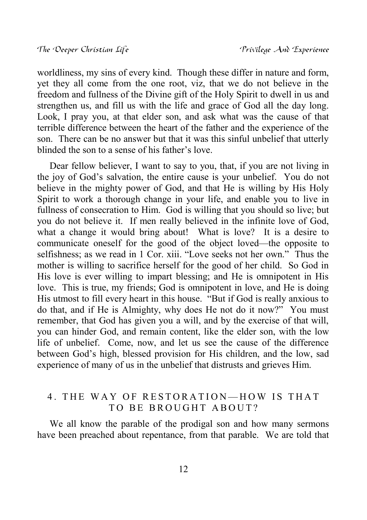worldliness, my sins of every kind. Though these differ in nature and form, yet they all come from the one root, viz, that we do not believe in the freedom and fullness of the Divine gift of the Holy Spirit to dwell in us and strengthen us, and fill us with the life and grace of God all the day long. Look, I pray you, at that elder son, and ask what was the cause of that terrible difference between the heart of the father and the experience of the son. There can be no answer but that it was this sinful unbelief that utterly blinded the son to a sense of his father's love.

Dear fellow believer, I want to say to you, that, if you are not living in the joy of God's salvation, the entire cause is your unbelief. You do not believe in the mighty power of God, and that He is willing by His Holy Spirit to work a thorough change in your life, and enable you to live in fullness of consecration to Him. God is willing that you should so live; but you do not believe it. If men really believed in the infinite love of God, what a change it would bring about! What is love? It is a desire to communicate oneself for the good of the object loved—the opposite to selfishness; as we read in 1 Cor. xiii. "Love seeks not her own." Thus the mother is willing to sacrifice herself for the good of her child. So God in His love is ever willing to impart blessing; and He is omnipotent in His love. This is true, my friends; God is omnipotent in love, and He is doing His utmost to fill every heart in this house. "But if God is really anxious to do that, and if He is Almighty, why does He not do it now?" You must remember, that God has given you a will, and by the exercise of that will, you can hinder God, and remain content, like the elder son, with the low life of unbelief. Come, now, and let us see the cause of the difference between God's high, blessed provision for His children, and the low, sad experience of many of us in the unbelief that distrusts and grieves Him.

#### 4. THE WAY OF RESTORATION-HOW IS THAT TO BE BROUGHT ABOUT?

We all know the parable of the prodigal son and how many sermons have been preached about repentance, from that parable. We are told that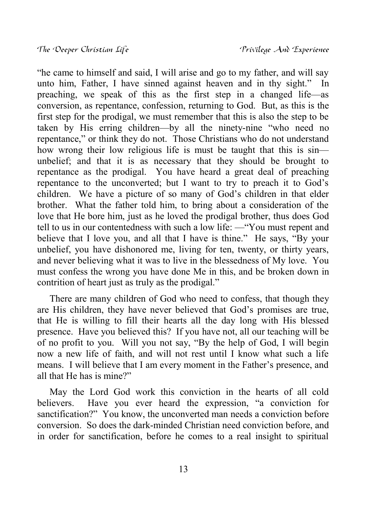"he came to himself and said, I will arise and go to my father, and will say unto him, Father, I have sinned against heaven and in thy sight." In preaching, we speak of this as the first step in a changed life—as conversion, as repentance, confession, returning to God. But, as this is the first step for the prodigal, we must remember that this is also the step to be taken by His erring children—by all the ninety-nine "who need no repentance," or think they do not. Those Christians who do not understand how wrong their low religious life is must be taught that this is sin unbelief; and that it is as necessary that they should be brought to repentance as the prodigal. You have heard a great deal of preaching repentance to the unconverted; but I want to try to preach it to God's children. We have a picture of so many of God's children in that elder brother. What the father told him, to bring about a consideration of the love that He bore him, just as he loved the prodigal brother, thus does God tell to us in our contentedness with such a low life: —"You must repent and believe that I love you, and all that I have is thine." He says, "By your unbelief, you have dishonored me, living for ten, twenty, or thirty years, and never believing what it was to live in the blessedness of My love. You must confess the wrong you have done Me in this, and be broken down in contrition of heart just as truly as the prodigal."

There are many children of God who need to confess, that though they are His children, they have never believed that God's promises are true, that He is willing to fill their hearts all the day long with His blessed presence. Have you believed this? If you have not, all our teaching will be of no profit to you. Will you not say, "By the help of God, I will begin now a new life of faith, and will not rest until I know what such a life means. I will believe that I am every moment in the Father's presence, and all that He has is mine?"

May the Lord God work this conviction in the hearts of all cold believers. Have you ever heard the expression, "a conviction for sanctification?" You know, the unconverted man needs a conviction before conversion. So does the dark-minded Christian need conviction before, and in order for sanctification, before he comes to a real insight to spiritual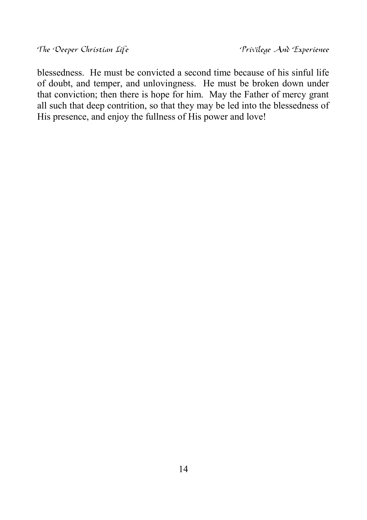blessedness. He must be convicted a second time because of his sinful life of doubt, and temper, and unlovingness. He must be broken down under that conviction; then there is hope for him. May the Father of mercy grant all such that deep contrition, so that they may be led into the blessedness of His presence, and enjoy the fullness of His power and love!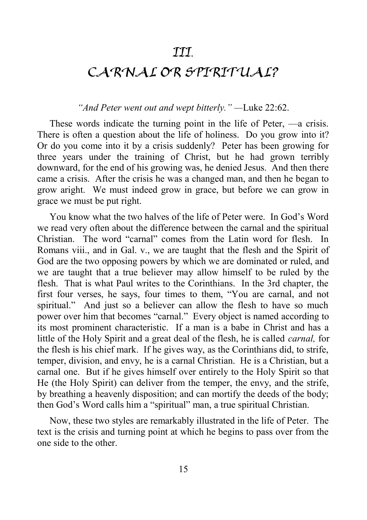### **CARNAL OR SPIRITUAL?**

#### *"And Peter went out and wept bitterly." —*Luke 22:62.

These words indicate the turning point in the life of Peter, —a crisis. There is often a question about the life of holiness. Do you grow into it? Or do you come into it by a crisis suddenly? Peter has been growing for three years under the training of Christ, but he had grown terribly downward, for the end of his growing was, he denied Jesus. And then there came a crisis. After the crisis he was a changed man, and then he began to grow aright. We must indeed grow in grace, but before we can grow in grace we must be put right.

You know what the two halves of the life of Peter were. In God's Word we read very often about the difference between the carnal and the spiritual Christian. The word "carnal" comes from the Latin word for flesh. In Romans viii., and in Gal. v., we are taught that the flesh and the Spirit of God are the two opposing powers by which we are dominated or ruled, and we are taught that a true believer may allow himself to be ruled by the flesh. That is what Paul writes to the Corinthians. In the 3rd chapter, the first four verses, he says, four times to them, "You are carnal, and not spiritual." And just so a believer can allow the flesh to have so much power over him that becomes "carnal." Every object is named according to its most prominent characteristic. If a man is a babe in Christ and has a little of the Holy Spirit and a great deal of the flesh, he is called *carnal,* for the flesh is his chief mark. If he gives way, as the Corinthians did, to strife, temper, division, and envy, he is a carnal Christian. He is a Christian, but a carnal one. But if he gives himself over entirely to the Holy Spirit so that He (the Holy Spirit) can deliver from the temper, the envy, and the strife, by breathing a heavenly disposition; and can mortify the deeds of the body; then God's Word calls him a "spiritual" man, a true spiritual Christian.

Now, these two styles are remarkably illustrated in the life of Peter. The text is the crisis and turning point at which he begins to pass over from the one side to the other.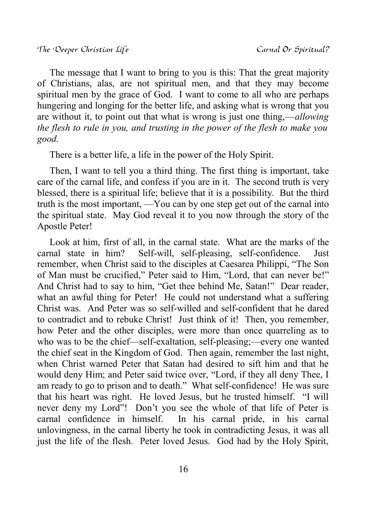The message that I want to bring to you is this: That the great majority of Christians, alas, are not spiritual men, and that they may become spiritual men by the grace of God. I want to come to all who are perhaps hungering and longing for the better life, and asking what is wrong that you are without it, to point out that what is wrong is just one thing,—*allowing the flesh to rule in you, and trusting in the power of the flesh to make you good.*

There is a better life, a life in the power of the Holy Spirit.

Then, I want to tell you a third thing. The first thing is important, take care of the carnal life, and confess if you are in it. The second truth is very blessed, there is a spiritual life; believe that it is a possibility. But the third truth is the most important, —You can by one step get out of the carnal into the spiritual state. May God reveal it to you now through the story of the Apostle Peter!

Look at him, first of all, in the carnal state. What are the marks of the carnal state in him? Self-will, self-pleasing, self-confidence. Just remember, when Christ said to the disciples at Caesarea Philippi, "The Son of Man must be crucified," Peter said to Him, "Lord, that can never be!" And Christ had to say to him, "Get thee behind Me, Satan!" Dear reader, what an awful thing for Peter! He could not understand what a suffering Christ was. And Peter was so self-willed and self-confident that he dared to contradict and to rebuke Christ! Just think of it! Then, you remember, how Peter and the other disciples, were more than once quarreling as to who was to be the chief—self-exaltation, self-pleasing;—every one wanted the chief seat in the Kingdom of God. Then again, remember the last night, when Christ warned Peter that Satan had desired to sift him and that he would deny Him; and Peter said twice over, "Lord, if they all deny Thee, I am ready to go to prison and to death." What self-confidence! He was sure that his heart was right. He loved Jesus, but he trusted himself. "I will never deny my Lord"! Don't you see the whole of that life of Peter is carnal confidence in himself. In his carnal pride, in his carnal unlovingness, in the carnal liberty he took in contradicting Jesus, it was all just the life of the flesh. Peter loved Jesus. God had by the Holy Spirit,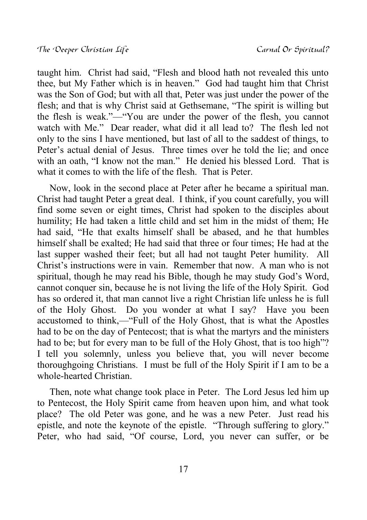taught him. Christ had said, "Flesh and blood hath not revealed this unto thee, but My Father which is in heaven." God had taught him that Christ was the Son of God; but with all that, Peter was just under the power of the flesh; and that is why Christ said at Gethsemane, "The spirit is willing but the flesh is weak."—"You are under the power of the flesh, you cannot watch with Me." Dear reader, what did it all lead to? The flesh led not only to the sins I have mentioned, but last of all to the saddest of things, to Peter's actual denial of Jesus. Three times over he told the lie; and once with an oath, "I know not the man." He denied his blessed Lord. That is what it comes to with the life of the flesh. That is Peter.

Now, look in the second place at Peter after he became a spiritual man. Christ had taught Peter a great deal. I think, if you count carefully, you will find some seven or eight times, Christ had spoken to the disciples about humility; He had taken a little child and set him in the midst of them; He had said, "He that exalts himself shall be abased, and he that humbles himself shall be exalted; He had said that three or four times; He had at the last supper washed their feet; but all had not taught Peter humility. All Christ's instructions were in vain. Remember that now. A man who is not spiritual, though he may read his Bible, though he may study God's Word, cannot conquer sin, because he is not living the life of the Holy Spirit. God has so ordered it, that man cannot live a right Christian life unless he is full of the Holy Ghost. Do you wonder at what I say? Have you been accustomed to think,—"Full of the Holy Ghost, that is what the Apostles had to be on the day of Pentecost; that is what the martyrs and the ministers had to be; but for every man to be full of the Holy Ghost, that is too high"? I tell you solemnly, unless you believe that, you will never become thoroughgoing Christians. I must be full of the Holy Spirit if I am to be a whole-hearted Christian.

Then, note what change took place in Peter. The Lord Jesus led him up to Pentecost, the Holy Spirit came from heaven upon him, and what took place? The old Peter was gone, and he was a new Peter. Just read his epistle, and note the keynote of the epistle. "Through suffering to glory." Peter, who had said, "Of course, Lord, you never can suffer, or be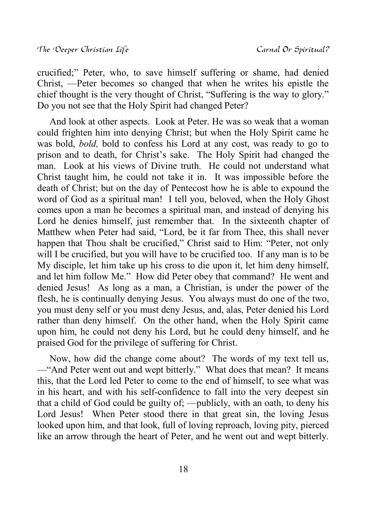crucified;" Peter, who, to save himself suffering or shame, had denied Christ, —Peter becomes so changed that when he writes his epistle the chief thought is the very thought of Christ, "Suffering is the way to glory." Do you not see that the Holy Spirit had changed Peter?

And look at other aspects. Look at Peter. He was so weak that a woman could frighten him into denying Christ; but when the Holy Spirit came he was bold, *bold,* bold to confess his Lord at any cost, was ready to go to prison and to death, for Christ's sake. The Holy Spirit had changed the man. Look at his views of Divine truth. He could not understand what Christ taught him, he could not take it in. It was impossible before the death of Christ; but on the day of Pentecost how he is able to expound the word of God as a spiritual man! I tell you, beloved, when the Holy Ghost comes upon a man he becomes a spiritual man, and instead of denying his Lord he denies himself, just remember that. In the sixteenth chapter of Matthew when Peter had said, "Lord, be it far from Thee, this shall never happen that Thou shalt be crucified," Christ said to Him: "Peter, not only will I be crucified, but you will have to be crucified too. If any man is to be My disciple, let him take up his cross to die upon it, let him deny himself, and let him follow Me." How did Peter obey that command? He went and denied Jesus! As long as a man, a Christian, is under the power of the flesh, he is continually denying Jesus. You always must do one of the two, you must deny self or you must deny Jesus, and, alas, Peter denied his Lord rather than deny himself. On the other hand, when the Holy Spirit came upon him, he could not deny his Lord, but he could deny himself, and he praised God for the privilege of suffering for Christ.

Now, how did the change come about? The words of my text tell us, —"And Peter went out and wept bitterly." What does that mean? It means this, that the Lord led Peter to come to the end of himself, to see what was in his heart, and with his self-confidence to fall into the very deepest sin that a child of God could be guilty of; —publicly, with an oath, to deny his Lord Jesus! When Peter stood there in that great sin, the loving Jesus looked upon him, and that look, full of loving reproach, loving pity, pierced like an arrow through the heart of Peter, and he went out and wept bitterly.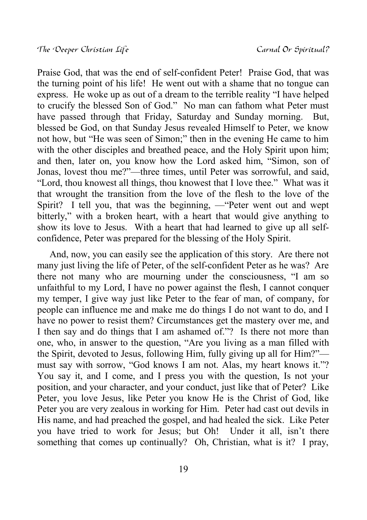Praise God, that was the end of self-confident Peter! Praise God, that was the turning point of his life! He went out with a shame that no tongue can express. He woke up as out of a dream to the terrible reality "I have helped to crucify the blessed Son of God." No man can fathom what Peter must have passed through that Friday, Saturday and Sunday morning. But, blessed be God, on that Sunday Jesus revealed Himself to Peter, we know not how, but "He was seen of Simon;" then in the evening He came to him with the other disciples and breathed peace, and the Holy Spirit upon him; and then, later on, you know how the Lord asked him, "Simon, son of Jonas, lovest thou me?"—three times, until Peter was sorrowful, and said, "Lord, thou knowest all things, thou knowest that I love thee." What was it that wrought the transition from the love of the flesh to the love of the Spirit? I tell you, that was the beginning, —"Peter went out and wept bitterly," with a broken heart, with a heart that would give anything to show its love to Jesus. With a heart that had learned to give up all selfconfidence, Peter was prepared for the blessing of the Holy Spirit.

And, now, you can easily see the application of this story. Are there not many just living the life of Peter, of the self-confident Peter as he was? Are there not many who are mourning under the consciousness, "I am so unfaithful to my Lord, I have no power against the flesh, I cannot conquer my temper, I give way just like Peter to the fear of man, of company, for people can influence me and make me do things I do not want to do, and I have no power to resist them? Circumstances get the mastery over me, and I then say and do things that I am ashamed of."? Is there not more than one, who, in answer to the question, "Are you living as a man filled with the Spirit, devoted to Jesus, following Him, fully giving up all for Him?" must say with sorrow, "God knows I am not. Alas, my heart knows it."? You say it, and I come, and I press you with the question, Is not your position, and your character, and your conduct, just like that of Peter? Like Peter, you love Jesus, like Peter you know He is the Christ of God, like Peter you are very zealous in working for Him. Peter had cast out devils in His name, and had preached the gospel, and had healed the sick. Like Peter you have tried to work for Jesus; but Oh! Under it all, isn't there something that comes up continually? Oh, Christian, what is it? I pray,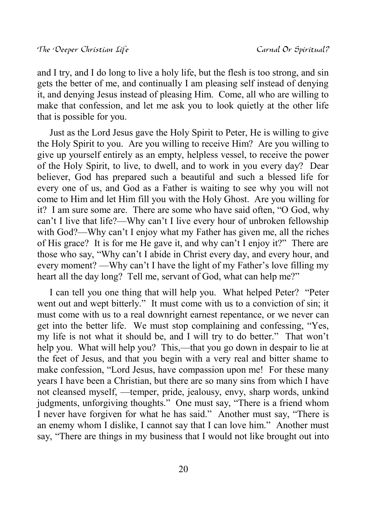and I try, and I do long to live a holy life, but the flesh is too strong, and sin gets the better of me, and continually I am pleasing self instead of denying it, and denying Jesus instead of pleasing Him. Come, all who are willing to make that confession, and let me ask you to look quietly at the other life that is possible for you.

Just as the Lord Jesus gave the Holy Spirit to Peter, He is willing to give the Holy Spirit to you. Are you willing to receive Him? Are you willing to give up yourself entirely as an empty, helpless vessel, to receive the power of the Holy Spirit, to live, to dwell, and to work in you every day? Dear believer, God has prepared such a beautiful and such a blessed life for every one of us, and God as a Father is waiting to see why you will not come to Him and let Him fill you with the Holy Ghost. Are you willing for it? I am sure some are. There are some who have said often, "O God, why can't I live that life?—Why can't I live every hour of unbroken fellowship with God?—Why can't I enjoy what my Father has given me, all the riches of His grace? It is for me He gave it, and why can't I enjoy it?" There are those who say, "Why can't I abide in Christ every day, and every hour, and every moment? —Why can't I have the light of my Father's love filling my heart all the day long? Tell me, servant of God, what can help me?"

I can tell you one thing that will help you. What helped Peter? "Peter went out and wept bitterly." It must come with us to a conviction of sin; it must come with us to a real downright earnest repentance, or we never can get into the better life. We must stop complaining and confessing, "Yes, my life is not what it should be, and I will try to do better." That won't help you. What will help you? This,—that you go down in despair to lie at the feet of Jesus, and that you begin with a very real and bitter shame to make confession, "Lord Jesus, have compassion upon me! For these many years I have been a Christian, but there are so many sins from which I have not cleansed myself, —temper, pride, jealousy, envy, sharp words, unkind judgments, unforgiving thoughts." One must say, "There is a friend whom I never have forgiven for what he has said." Another must say, "There is an enemy whom I dislike, I cannot say that I can love him." Another must say, "There are things in my business that I would not like brought out into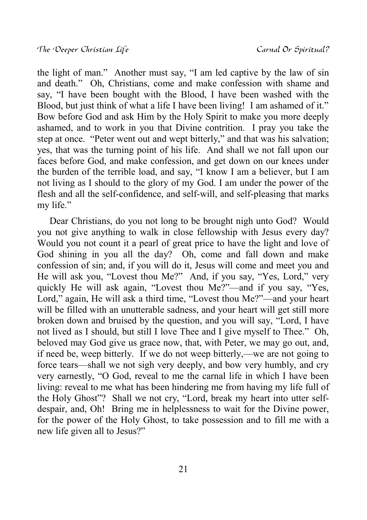the light of man." Another must say, "I am led captive by the law of sin and death." Oh, Christians, come and make confession with shame and say, "I have been bought with the Blood, I have been washed with the Blood, but just think of what a life I have been living! I am ashamed of it." Bow before God and ask Him by the Holy Spirit to make you more deeply ashamed, and to work in you that Divine contrition. I pray you take the step at once. "Peter went out and wept bitterly," and that was his salvation; yes, that was the turning point of his life. And shall we not fall upon our faces before God, and make confession, and get down on our knees under the burden of the terrible load, and say, "I know I am a believer, but I am not living as I should to the glory of my God. I am under the power of the flesh and all the self-confidence, and self-will, and self-pleasing that marks my life."

Dear Christians, do you not long to be brought nigh unto God? Would you not give anything to walk in close fellowship with Jesus every day? Would you not count it a pearl of great price to have the light and love of God shining in you all the day? Oh, come and fall down and make confession of sin; and, if you will do it, Jesus will come and meet you and He will ask you, "Lovest thou Me?" And, if you say, "Yes, Lord," very quickly He will ask again, "Lovest thou Me?"—and if you say, "Yes, Lord," again, He will ask a third time, "Lovest thou Me?"—and your heart will be filled with an unutterable sadness, and your heart will get still more broken down and bruised by the question, and you will say, "Lord, I have not lived as I should, but still I love Thee and I give myself to Thee." Oh, beloved may God give us grace now, that, with Peter, we may go out, and, if need be, weep bitterly. If we do not weep bitterly,—we are not going to force tears—shall we not sigh very deeply, and bow very humbly, and cry very earnestly, "O God, reveal to me the carnal life in which I have been living: reveal to me what has been hindering me from having my life full of the Holy Ghost"? Shall we not cry, "Lord, break my heart into utter selfdespair, and, Oh! Bring me in helplessness to wait for the Divine power, for the power of the Holy Ghost, to take possession and to fill me with a new life given all to Jesus?"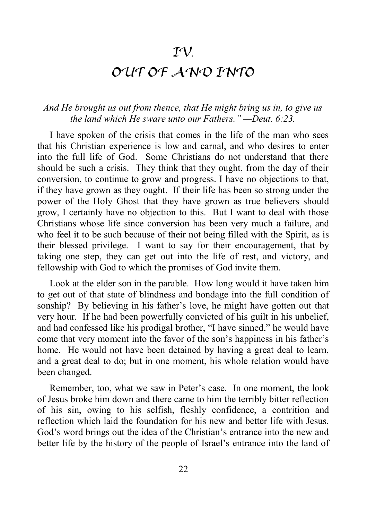### **OUT OF AND INTO**

#### *And He brought us out from thence, that He might bring us in, to give us the land which He sware unto our Fathers." —Deut. 6:23.*

I have spoken of the crisis that comes in the life of the man who sees that his Christian experience is low and carnal, and who desires to enter into the full life of God. Some Christians do not understand that there should be such a crisis. They think that they ought, from the day of their conversion, to continue to grow and progress. I have no objections to that, if they have grown as they ought. If their life has been so strong under the power of the Holy Ghost that they have grown as true believers should grow, I certainly have no objection to this. But I want to deal with those Christians whose life since conversion has been very much a failure, and who feel it to be such because of their not being filled with the Spirit, as is their blessed privilege. I want to say for their encouragement, that by taking one step, they can get out into the life of rest, and victory, and fellowship with God to which the promises of God invite them.

Look at the elder son in the parable. How long would it have taken him to get out of that state of blindness and bondage into the full condition of sonship? By believing in his father's love, he might have gotten out that very hour. If he had been powerfully convicted of his guilt in his unbelief, and had confessed like his prodigal brother, "I have sinned," he would have come that very moment into the favor of the son's happiness in his father's home. He would not have been detained by having a great deal to learn, and a great deal to do; but in one moment, his whole relation would have been changed.

Remember, too, what we saw in Peter's case. In one moment, the look of Jesus broke him down and there came to him the terribly bitter reflection of his sin, owing to his selfish, fleshly confidence, a contrition and reflection which laid the foundation for his new and better life with Jesus. God's word brings out the idea of the Christian's entrance into the new and better life by the history of the people of Israel's entrance into the land of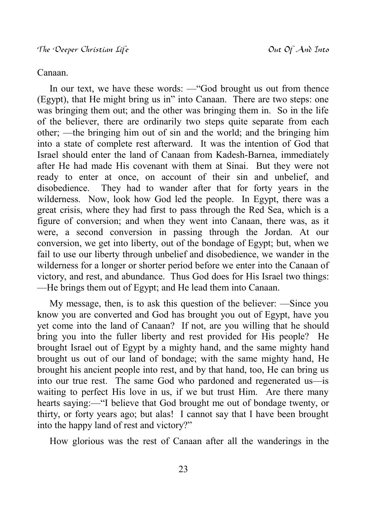Canaan.

In our text, we have these words: —"God brought us out from thence (Egypt), that He might bring us in" into Canaan. There are two steps: one was bringing them out; and the other was bringing them in. So in the life of the believer, there are ordinarily two steps quite separate from each other; —the bringing him out of sin and the world; and the bringing him into a state of complete rest afterward. It was the intention of God that Israel should enter the land of Canaan from Kadesh-Barnea, immediately after He had made His covenant with them at Sinai. But they were not ready to enter at once, on account of their sin and unbelief, and disobedience. They had to wander after that for forty years in the wilderness. Now, look how God led the people. In Egypt, there was a great crisis, where they had first to pass through the Red Sea, which is a figure of conversion; and when they went into Canaan, there was, as it were, a second conversion in passing through the Jordan. At our conversion, we get into liberty, out of the bondage of Egypt; but, when we fail to use our liberty through unbelief and disobedience, we wander in the wilderness for a longer or shorter period before we enter into the Canaan of victory, and rest, and abundance. Thus God does for His Israel two things: —He brings them out of Egypt; and He lead them into Canaan.

My message, then, is to ask this question of the believer: —Since you know you are converted and God has brought you out of Egypt, have you yet come into the land of Canaan? If not, are you willing that he should bring you into the fuller liberty and rest provided for His people? He brought Israel out of Egypt by a mighty hand, and the same mighty hand brought us out of our land of bondage; with the same mighty hand, He brought his ancient people into rest, and by that hand, too, He can bring us into our true rest. The same God who pardoned and regenerated us—is waiting to perfect His love in us, if we but trust Him. Are there many hearts saying:—"I believe that God brought me out of bondage twenty, or thirty, or forty years ago; but alas! I cannot say that I have been brought into the happy land of rest and victory?"

How glorious was the rest of Canaan after all the wanderings in the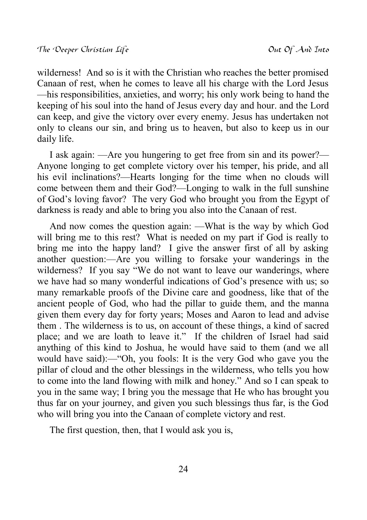wilderness! And so is it with the Christian who reaches the better promised Canaan of rest, when he comes to leave all his charge with the Lord Jesus —his responsibilities, anxieties, and worry; his only work being to hand the keeping of his soul into the hand of Jesus every day and hour. and the Lord can keep, and give the victory over every enemy. Jesus has undertaken not only to cleans our sin, and bring us to heaven, but also to keep us in our daily life.

I ask again: —Are you hungering to get free from sin and its power?— Anyone longing to get complete victory over his temper, his pride, and all his evil inclinations?—Hearts longing for the time when no clouds will come between them and their God?—Longing to walk in the full sunshine of God's loving favor? The very God who brought you from the Egypt of darkness is ready and able to bring you also into the Canaan of rest.

And now comes the question again: —What is the way by which God will bring me to this rest? What is needed on my part if God is really to bring me into the happy land? I give the answer first of all by asking another question:—Are you willing to forsake your wanderings in the wilderness? If you say "We do not want to leave our wanderings, where we have had so many wonderful indications of God's presence with us; so many remarkable proofs of the Divine care and goodness, like that of the ancient people of God, who had the pillar to guide them, and the manna given them every day for forty years; Moses and Aaron to lead and advise them . The wilderness is to us, on account of these things, a kind of sacred place; and we are loath to leave it." If the children of Israel had said anything of this kind to Joshua, he would have said to them (and we all would have said):—"Oh, you fools: It is the very God who gave you the pillar of cloud and the other blessings in the wilderness, who tells you how to come into the land flowing with milk and honey." And so I can speak to you in the same way; I bring you the message that He who has brought you thus far on your journey, and given you such blessings thus far, is the God who will bring you into the Canaan of complete victory and rest.

The first question, then, that I would ask you is,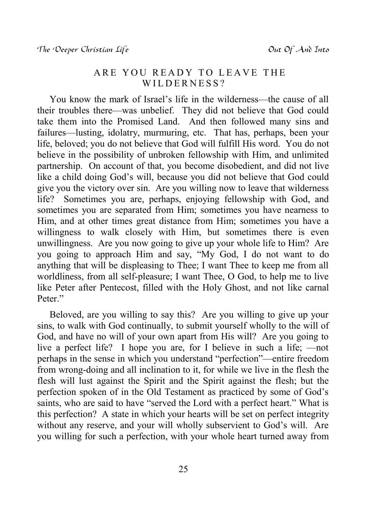#### ARE YOU READY TO LEAVE THE WILDERNESS?

You know the mark of Israel's life in the wilderness—the cause of all their troubles there—was unbelief. They did not believe that God could take them into the Promised Land. And then followed many sins and failures—lusting, idolatry, murmuring, etc. That has, perhaps, been your life, beloved; you do not believe that God will fulfill His word. You do not believe in the possibility of unbroken fellowship with Him, and unlimited partnership. On account of that, you become disobedient, and did not live like a child doing God's will, because you did not believe that God could give you the victory over sin. Are you willing now to leave that wilderness life? Sometimes you are, perhaps, enjoying fellowship with God, and sometimes you are separated from Him; sometimes you have nearness to Him, and at other times great distance from Him; sometimes you have a willingness to walk closely with Him, but sometimes there is even unwillingness. Are you now going to give up your whole life to Him? Are you going to approach Him and say, "My God, I do not want to do anything that will be displeasing to Thee; I want Thee to keep me from all worldliness, from all self-pleasure; I want Thee, O God, to help me to live like Peter after Pentecost, filled with the Holy Ghost, and not like carnal Peter."

Beloved, are you willing to say this? Are you willing to give up your sins, to walk with God continually, to submit yourself wholly to the will of God, and have no will of your own apart from His will? Are you going to live a perfect life? I hope you are, for I believe in such a life; —not perhaps in the sense in which you understand "perfection"—entire freedom from wrong-doing and all inclination to it, for while we live in the flesh the flesh will lust against the Spirit and the Spirit against the flesh; but the perfection spoken of in the Old Testament as practiced by some of God's saints, who are said to have "served the Lord with a perfect heart." What is this perfection? A state in which your hearts will be set on perfect integrity without any reserve, and your will wholly subservient to God's will. Are you willing for such a perfection, with your whole heart turned away from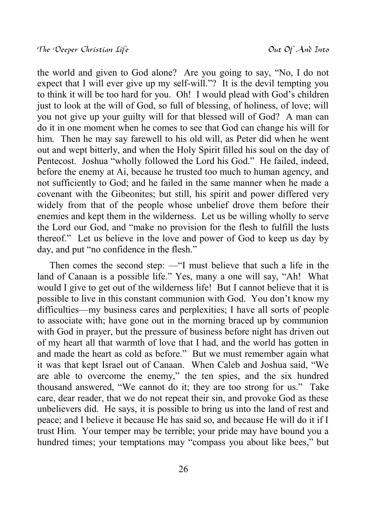the world and given to God alone? Are you going to say, "No, I do not expect that I will ever give up my self-will."? It is the devil tempting you to think it will be too hard for you. Oh! I would plead with God's children just to look at the will of God, so full of blessing, of holiness, of love; will you not give up your guilty will for that blessed will of God? A man can do it in one moment when he comes to see that God can change his will for him. Then he may say farewell to his old will, as Peter did when he went out and wept bitterly, and when the Holy Spirit filled his soul on the day of Pentecost. Joshua "wholly followed the Lord his God." He failed, indeed, before the enemy at Ai, because he trusted too much to human agency, and not sufficiently to God; and he failed in the same manner when he made a covenant with the Gibeonites; but still, his spirit and power differed very widely from that of the people whose unbelief drove them before their enemies and kept them in the wilderness. Let us be willing wholly to serve the Lord our God, and "make no provision for the flesh to fulfill the lusts thereof." Let us believe in the love and power of God to keep us day by day, and put "no confidence in the flesh."

Then comes the second step: —"I must believe that such a life in the land of Canaan is a possible life." Yes, many a one will say, "Ah! What would I give to get out of the wilderness life! But I cannot believe that it is possible to live in this constant communion with God. You don't know my difficulties—my business cares and perplexities; I have all sorts of people to associate with; have gone out in the morning braced up by communion with God in prayer, but the pressure of business before night has driven out of my heart all that warmth of love that I had, and the world has gotten in and made the heart as cold as before." But we must remember again what it was that kept Israel out of Canaan. When Caleb and Joshua said, "We are able to overcome the enemy," the ten spies, and the six hundred thousand answered, "We cannot do it; they are too strong for us." Take care, dear reader, that we do not repeat their sin, and provoke God as these unbelievers did. He says, it is possible to bring us into the land of rest and peace; and I believe it because He has said so, and because He will do it if I trust Him. Your temper may be terrible; your pride may have bound you a hundred times; your temptations may "compass you about like bees," but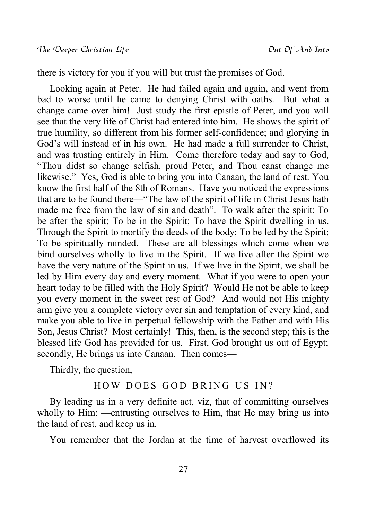there is victory for you if you will but trust the promises of God.

Looking again at Peter. He had failed again and again, and went from bad to worse until he came to denying Christ with oaths. But what a change came over him! Just study the first epistle of Peter, and you will see that the very life of Christ had entered into him. He shows the spirit of true humility, so different from his former self-confidence; and glorying in God's will instead of in his own. He had made a full surrender to Christ, and was trusting entirely in Him. Come therefore today and say to God, "Thou didst so change selfish, proud Peter, and Thou canst change me likewise." Yes, God is able to bring you into Canaan, the land of rest. You know the first half of the 8th of Romans. Have you noticed the expressions that are to be found there—"The law of the spirit of life in Christ Jesus hath made me free from the law of sin and death". To walk after the spirit; To be after the spirit; To be in the Spirit; To have the Spirit dwelling in us. Through the Spirit to mortify the deeds of the body; To be led by the Spirit; To be spiritually minded. These are all blessings which come when we bind ourselves wholly to live in the Spirit. If we live after the Spirit we have the very nature of the Spirit in us. If we live in the Spirit, we shall be led by Him every day and every moment. What if you were to open your heart today to be filled with the Holy Spirit? Would He not be able to keep you every moment in the sweet rest of God? And would not His mighty arm give you a complete victory over sin and temptation of every kind, and make you able to live in perpetual fellowship with the Father and with His Son, Jesus Christ? Most certainly! This, then, is the second step; this is the blessed life God has provided for us. First, God brought us out of Egypt; secondly, He brings us into Canaan. Then comes—

Thirdly, the question,

#### HOW DOES GOD BRING US IN?

By leading us in a very definite act, viz, that of committing ourselves wholly to Him: —entrusting ourselves to Him, that He may bring us into the land of rest, and keep us in.

You remember that the Jordan at the time of harvest overflowed its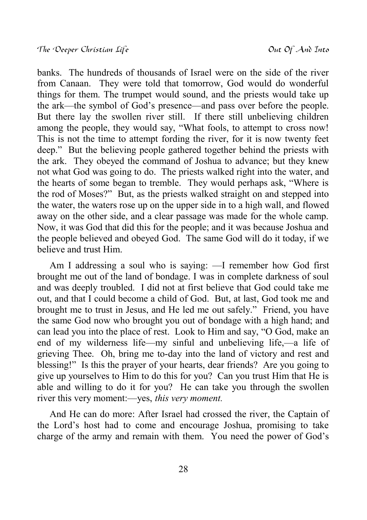banks. The hundreds of thousands of Israel were on the side of the river from Canaan. They were told that tomorrow, God would do wonderful things for them. The trumpet would sound, and the priests would take up the ark—the symbol of God's presence—and pass over before the people. But there lay the swollen river still. If there still unbelieving children among the people, they would say, "What fools, to attempt to cross now! This is not the time to attempt fording the river, for it is now twenty feet deep." But the believing people gathered together behind the priests with the ark. They obeyed the command of Joshua to advance; but they knew not what God was going to do. The priests walked right into the water, and the hearts of some began to tremble. They would perhaps ask, "Where is the rod of Moses?" But, as the priests walked straight on and stepped into the water, the waters rose up on the upper side in to a high wall, and flowed away on the other side, and a clear passage was made for the whole camp. Now, it was God that did this for the people; and it was because Joshua and the people believed and obeyed God. The same God will do it today, if we believe and trust Him.

Am I addressing a soul who is saying: —I remember how God first brought me out of the land of bondage. I was in complete darkness of soul and was deeply troubled. I did not at first believe that God could take me out, and that I could become a child of God. But, at last, God took me and brought me to trust in Jesus, and He led me out safely." Friend, you have the same God now who brought you out of bondage with a high hand; and can lead you into the place of rest. Look to Him and say, "O God, make an end of my wilderness life—my sinful and unbelieving life,—a life of grieving Thee. Oh, bring me to-day into the land of victory and rest and blessing!" Is this the prayer of your hearts, dear friends? Are you going to give up yourselves to Him to do this for you? Can you trust Him that He is able and willing to do it for you? He can take you through the swollen river this very moment:—yes, *this very moment.*

And He can do more: After Israel had crossed the river, the Captain of the Lord's host had to come and encourage Joshua, promising to take charge of the army and remain with them. You need the power of God's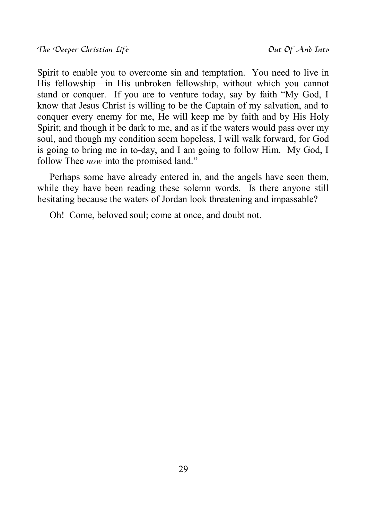Spirit to enable you to overcome sin and temptation. You need to live in His fellowship—in His unbroken fellowship, without which you cannot stand or conquer. If you are to venture today, say by faith "My God, I know that Jesus Christ is willing to be the Captain of my salvation, and to conquer every enemy for me, He will keep me by faith and by His Holy Spirit; and though it be dark to me, and as if the waters would pass over my soul, and though my condition seem hopeless, I will walk forward, for God is going to bring me in to-day, and I am going to follow Him. My God, I follow Thee *now* into the promised land."

Perhaps some have already entered in, and the angels have seen them, while they have been reading these solemn words. Is there anyone still hesitating because the waters of Jordan look threatening and impassable?

Oh! Come, beloved soul; come at once, and doubt not.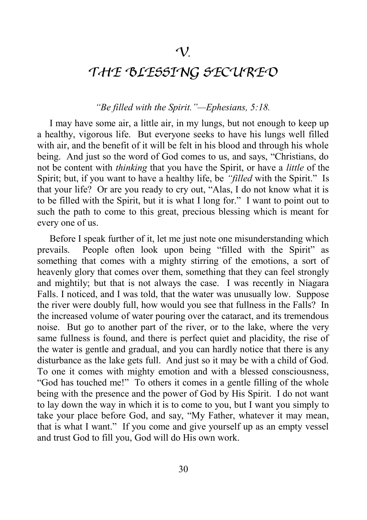### **THE BLESSING SECURED**

#### *"Be filled with the Spirit."—Ephesians, 5:18.*

I may have some air, a little air, in my lungs, but not enough to keep up a healthy, vigorous life. But everyone seeks to have his lungs well filled with air, and the benefit of it will be felt in his blood and through his whole being. And just so the word of God comes to us, and says, "Christians, do not be content with *thinking* that you have the Spirit, or have a *little* of the Spirit; but, if you want to have a healthy life, be *"filled* with the Spirit." Is that your life? Or are you ready to cry out, "Alas, I do not know what it is to be filled with the Spirit, but it is what I long for." I want to point out to such the path to come to this great, precious blessing which is meant for every one of us.

Before I speak further of it, let me just note one misunderstanding which prevails. People often look upon being "filled with the Spirit" as something that comes with a mighty stirring of the emotions, a sort of heavenly glory that comes over them, something that they can feel strongly and mightily; but that is not always the case. I was recently in Niagara Falls. I noticed, and I was told, that the water was unusually low. Suppose the river were doubly full, how would you see that fullness in the Falls? In the increased volume of water pouring over the cataract, and its tremendous noise. But go to another part of the river, or to the lake, where the very same fullness is found, and there is perfect quiet and placidity, the rise of the water is gentle and gradual, and you can hardly notice that there is any disturbance as the lake gets full. And just so it may be with a child of God. To one it comes with mighty emotion and with a blessed consciousness, "God has touched me!" To others it comes in a gentle filling of the whole being with the presence and the power of God by His Spirit. I do not want to lay down the way in which it is to come to you, but I want you simply to take your place before God, and say, "My Father, whatever it may mean, that is what I want." If you come and give yourself up as an empty vessel and trust God to fill you, God will do His own work.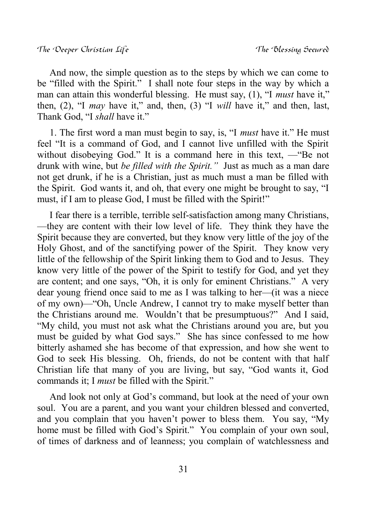And now, the simple question as to the steps by which we can come to be "filled with the Spirit." I shall note four steps in the way by which a man can attain this wonderful blessing. He must say, (1), "I *must* have it," then, (2), "I *may* have it," and, then, (3) "I *will* have it," and then, last, Thank God, "I *shall* have it."

1. The first word a man must begin to say, is, "I *must* have it." He must feel "It is a command of God, and I cannot live unfilled with the Spirit without disobeying God." It is a command here in this text, — "Be not drunk with wine, but *be filled with the Spirit."* Just as much as a man dare not get drunk, if he is a Christian, just as much must a man be filled with the Spirit. God wants it, and oh, that every one might be brought to say, "I must, if I am to please God, I must be filled with the Spirit!"

I fear there is a terrible, terrible self-satisfaction among many Christians, —they are content with their low level of life. They think they have the Spirit because they are converted, but they know very little of the joy of the Holy Ghost, and of the sanctifying power of the Spirit. They know very little of the fellowship of the Spirit linking them to God and to Jesus. They know very little of the power of the Spirit to testify for God, and yet they are content; and one says, "Oh, it is only for eminent Christians." A very dear young friend once said to me as I was talking to her—(it was a niece of my own)—"Oh, Uncle Andrew, I cannot try to make myself better than the Christians around me. Wouldn't that be presumptuous?" And I said, "My child, you must not ask what the Christians around you are, but you must be guided by what God says." She has since confessed to me how bitterly ashamed she has become of that expression, and how she went to God to seek His blessing. Oh, friends, do not be content with that half Christian life that many of you are living, but say, "God wants it, God commands it; I *must* be filled with the Spirit."

And look not only at God's command, but look at the need of your own soul. You are a parent, and you want your children blessed and converted, and you complain that you haven't power to bless them. You say, "My home must be filled with God's Spirit." You complain of your own soul, of times of darkness and of leanness; you complain of watchlessness and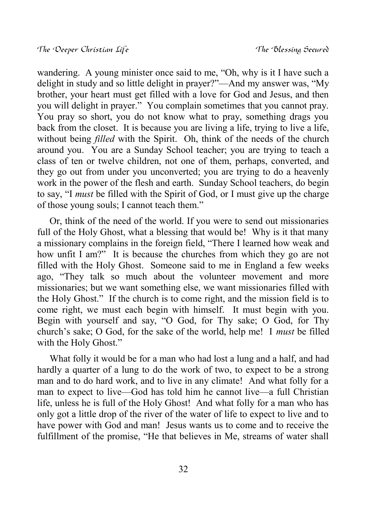wandering. A young minister once said to me, "Oh, why is it I have such a delight in study and so little delight in prayer?"—And my answer was, "My brother, your heart must get filled with a love for God and Jesus, and then you will delight in prayer." You complain sometimes that you cannot pray. You pray so short, you do not know what to pray, something drags you back from the closet. It is because you are living a life, trying to live a life, without being *filled* with the Spirit. Oh, think of the needs of the church around you. You are a Sunday School teacher; you are trying to teach a class of ten or twelve children, not one of them, perhaps, converted, and they go out from under you unconverted; you are trying to do a heavenly work in the power of the flesh and earth. Sunday School teachers, do begin to say, "I *must* be filled with the Spirit of God, or I must give up the charge of those young souls; I cannot teach them."

Or, think of the need of the world. If you were to send out missionaries full of the Holy Ghost, what a blessing that would be! Why is it that many a missionary complains in the foreign field, "There I learned how weak and how unfit I am?" It is because the churches from which they go are not filled with the Holy Ghost. Someone said to me in England a few weeks ago, "They talk so much about the volunteer movement and more missionaries; but we want something else, we want missionaries filled with the Holy Ghost." If the church is to come right, and the mission field is to come right, we must each begin with himself. It must begin with you. Begin with yourself and say, "O God, for Thy sake; O God, for Thy church's sake; O God, for the sake of the world, help me! I *must* be filled with the Holy Ghost."

What folly it would be for a man who had lost a lung and a half, and had hardly a quarter of a lung to do the work of two, to expect to be a strong man and to do hard work, and to live in any climate! And what folly for a man to expect to live—God has told him he cannot live—a full Christian life, unless he is full of the Holy Ghost! And what folly for a man who has only got a little drop of the river of the water of life to expect to live and to have power with God and man! Jesus wants us to come and to receive the fulfillment of the promise, "He that believes in Me, streams of water shall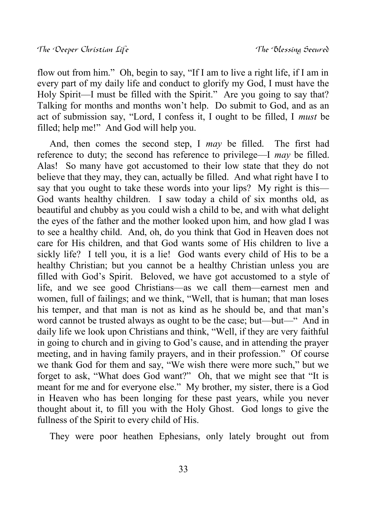flow out from him." Oh, begin to say, "If I am to live a right life, if I am in every part of my daily life and conduct to glorify my God, I must have the Holy Spirit—I must be filled with the Spirit." Are you going to say that? Talking for months and months won't help. Do submit to God, and as an act of submission say, "Lord, I confess it, I ought to be filled, I *must* be filled; help me!" And God will help you.

And, then comes the second step, I *may* be filled. The first had reference to duty; the second has reference to privilege—I *may* be filled. Alas! So many have got accustomed to their low state that they do not believe that they may, they can, actually be filled. And what right have I to say that you ought to take these words into your lips? My right is this— God wants healthy children. I saw today a child of six months old, as beautiful and chubby as you could wish a child to be, and with what delight the eyes of the father and the mother looked upon him, and how glad I was to see a healthy child. And, oh, do you think that God in Heaven does not care for His children, and that God wants some of His children to live a sickly life? I tell you, it is a lie! God wants every child of His to be a healthy Christian; but you cannot be a healthy Christian unless you are filled with God's Spirit. Beloved, we have got accustomed to a style of life, and we see good Christians—as we call them—earnest men and women, full of failings; and we think, "Well, that is human; that man loses his temper, and that man is not as kind as he should be, and that man's word cannot be trusted always as ought to be the case; but—but—" And in daily life we look upon Christians and think, "Well, if they are very faithful in going to church and in giving to God's cause, and in attending the prayer meeting, and in having family prayers, and in their profession." Of course we thank God for them and say, "We wish there were more such," but we forget to ask, "What does God want?" Oh, that we might see that "It is meant for me and for everyone else." My brother, my sister, there is a God in Heaven who has been longing for these past years, while you never thought about it, to fill you with the Holy Ghost. God longs to give the fullness of the Spirit to every child of His.

They were poor heathen Ephesians, only lately brought out from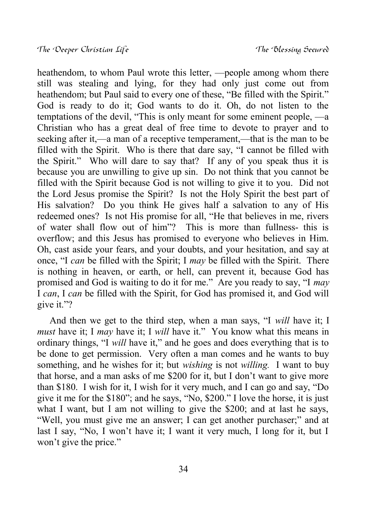heathendom, to whom Paul wrote this letter, —people among whom there still was stealing and lying, for they had only just come out from heathendom; but Paul said to every one of these, "Be filled with the Spirit." God is ready to do it; God wants to do it. Oh, do not listen to the temptations of the devil, "This is only meant for some eminent people, —a Christian who has a great deal of free time to devote to prayer and to seeking after it,—a man of a receptive temperament,—that is the man to be filled with the Spirit. Who is there that dare say, "I cannot be filled with the Spirit." Who will dare to say that? If any of you speak thus it is because you are unwilling to give up sin. Do not think that you cannot be filled with the Spirit because God is not willing to give it to you. Did not the Lord Jesus promise the Spirit? Is not the Holy Spirit the best part of His salvation? Do you think He gives half a salvation to any of His redeemed ones? Is not His promise for all, "He that believes in me, rivers of water shall flow out of him"? This is more than fullness- this is overflow; and this Jesus has promised to everyone who believes in Him. Oh, cast aside your fears, and your doubts, and your hesitation, and say at once, "I *can* be filled with the Spirit; I *may* be filled with the Spirit. There is nothing in heaven, or earth, or hell, can prevent it, because God has promised and God is waiting to do it for me." Are you ready to say, "I *may* I *can*, I *can* be filled with the Spirit, for God has promised it, and God will give it."?

And then we get to the third step, when a man says, "I *will* have it; I *must* have it; I *may* have it; I *will* have it." You know what this means in ordinary things, "I *will* have it," and he goes and does everything that is to be done to get permission. Very often a man comes and he wants to buy something, and he wishes for it; but *wishing* is not *willing.* I want to buy that horse, and a man asks of me \$200 for it, but I don't want to give more than \$180. I wish for it, I wish for it very much, and I can go and say, "Do give it me for the \$180"; and he says, "No, \$200." I love the horse, it is just what I want, but I am not willing to give the \$200; and at last he says, "Well, you must give me an answer; I can get another purchaser;" and at last I say, "No, I won't have it; I want it very much, I long for it, but I won't give the price."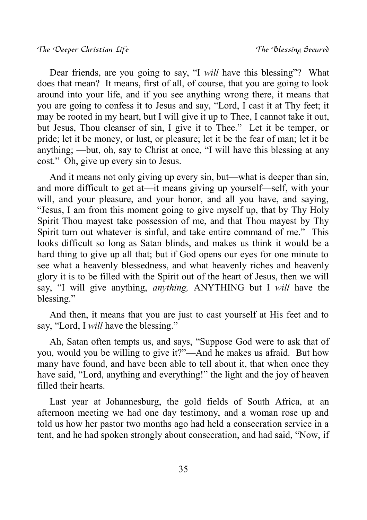Dear friends, are you going to say, "I *will* have this blessing"? What does that mean? It means, first of all, of course, that you are going to look around into your life, and if you see anything wrong there, it means that you are going to confess it to Jesus and say, "Lord, I cast it at Thy feet; it may be rooted in my heart, but I will give it up to Thee, I cannot take it out, but Jesus, Thou cleanser of sin, I give it to Thee." Let it be temper, or pride; let it be money, or lust, or pleasure; let it be the fear of man; let it be anything; —but, oh, say to Christ at once, "I will have this blessing at any cost." Oh, give up every sin to Jesus.

And it means not only giving up every sin, but—what is deeper than sin, and more difficult to get at—it means giving up yourself—self, with your will, and your pleasure, and your honor, and all you have, and saying, "Jesus, I am from this moment going to give myself up, that by Thy Holy Spirit Thou mayest take possession of me, and that Thou mayest by Thy Spirit turn out whatever is sinful, and take entire command of me." This looks difficult so long as Satan blinds, and makes us think it would be a hard thing to give up all that; but if God opens our eyes for one minute to see what a heavenly blessedness, and what heavenly riches and heavenly glory it is to be filled with the Spirit out of the heart of Jesus, then we will say, "I will give anything, *anything,* ANYTHING but I *will* have the blessing."

And then, it means that you are just to cast yourself at His feet and to say, "Lord, I *will* have the blessing."

Ah, Satan often tempts us, and says, "Suppose God were to ask that of you, would you be willing to give it?"—And he makes us afraid. But how many have found, and have been able to tell about it, that when once they have said, "Lord, anything and everything!" the light and the joy of heaven filled their hearts.

Last year at Johannesburg, the gold fields of South Africa, at an afternoon meeting we had one day testimony, and a woman rose up and told us how her pastor two months ago had held a consecration service in a tent, and he had spoken strongly about consecration, and had said, "Now, if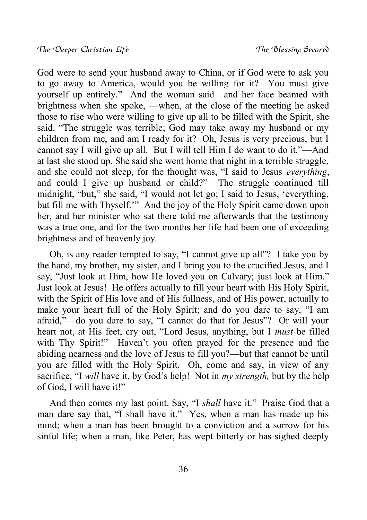God were to send your husband away to China, or if God were to ask you to go away to America, would you be willing for it? You must give yourself up entirely." And the woman said—and her face beamed with brightness when she spoke, —when, at the close of the meeting he asked those to rise who were willing to give up all to be filled with the Spirit, she said, "The struggle was terrible; God may take away my husband or my children from me, and am I ready for it? Oh, Jesus is very precious, but I cannot say I will give up all. But I will tell Him I do want to do it."—And at last she stood up. She said she went home that night in a terrible struggle, and she could not sleep, for the thought was, "I said to Jesus *everything*, and could I give up husband or child?" The struggle continued till midnight, "but," she said, "I would not let go; I said to Jesus, 'everything, but fill me with Thyself.'" And the joy of the Holy Spirit came down upon her, and her minister who sat there told me afterwards that the testimony was a true one, and for the two months her life had been one of exceeding brightness and of heavenly joy.

Oh, is any reader tempted to say, "I cannot give up all"? I take you by the hand, my brother, my sister, and I bring you to the crucified Jesus, and I say, "Just look at Him, how He loved you on Calvary; just look at Him." Just look at Jesus! He offers actually to fill your heart with His Holy Spirit, with the Spirit of His love and of His fullness, and of His power, actually to make your heart full of the Holy Spirit; and do you dare to say, "I am afraid,"—do you dare to say, "I cannot do that for Jesus"? Or will your heart not, at His feet, cry out, "Lord Jesus, anything, but I *must* be filled with Thy Spirit!" Haven't you often prayed for the presence and the abiding nearness and the love of Jesus to fill you?—but that cannot be until you are filled with the Holy Spirit. Oh, come and say, in view of any sacrifice, "I *will* have it, by God's help! Not in *my strength,* but by the help of God, I will have it!"

And then comes my last point. Say, "I *shall* have it." Praise God that a man dare say that, "I shall have it." Yes, when a man has made up his mind; when a man has been brought to a conviction and a sorrow for his sinful life; when a man, like Peter, has wept bitterly or has sighed deeply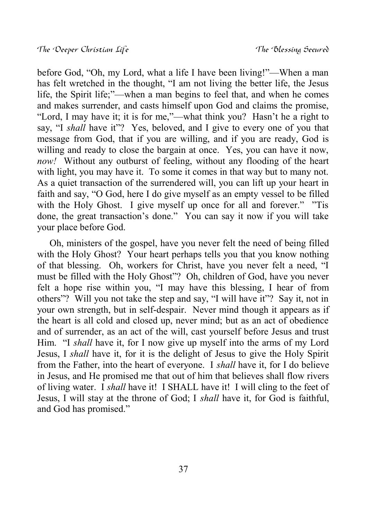before God, "Oh, my Lord, what a life I have been living!"—When a man has felt wretched in the thought, "I am not living the better life, the Jesus life, the Spirit life;"—when a man begins to feel that, and when he comes and makes surrender, and casts himself upon God and claims the promise, "Lord, I may have it; it is for me,"—what think you? Hasn't he a right to say, "I *shall* have it"? Yes, beloved, and I give to every one of you that message from God, that if you are willing, and if you are ready, God is willing and ready to close the bargain at once. Yes, you can have it now, *now!* Without any outburst of feeling, without any flooding of the heart with light, you may have it. To some it comes in that way but to many not. As a quiet transaction of the surrendered will, you can lift up your heart in faith and say, "O God, here I do give myself as an empty vessel to be filled with the Holy Ghost. I give myself up once for all and forever." "Tis done, the great transaction's done." You can say it now if you will take your place before God.

Oh, ministers of the gospel, have you never felt the need of being filled with the Holy Ghost? Your heart perhaps tells you that you know nothing of that blessing. Oh, workers for Christ, have you never felt a need, "I must be filled with the Holy Ghost"? Oh, children of God, have you never felt a hope rise within you, "I may have this blessing, I hear of from others"? Will you not take the step and say, "I will have it"? Say it, not in your own strength, but in self-despair. Never mind though it appears as if the heart is all cold and closed up, never mind; but as an act of obedience and of surrender, as an act of the will, cast yourself before Jesus and trust Him. "I *shall* have it, for I now give up myself into the arms of my Lord Jesus, I *shall* have it, for it is the delight of Jesus to give the Holy Spirit from the Father, into the heart of everyone. I *shall* have it, for I do believe in Jesus, and He promised me that out of him that believes shall flow rivers of living water. I *shall* have it! I SHALL have it! I will cling to the feet of Jesus, I will stay at the throne of God; I *shall* have it, for God is faithful, and God has promised."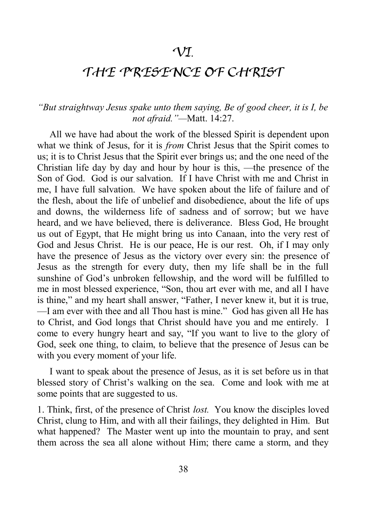### **THE PRESENCE OF CHRIST**

#### *"But straightway Jesus spake unto them saying, Be of good cheer, it is I, be not afraid."—*Matt. 14:27.

All we have had about the work of the blessed Spirit is dependent upon what we think of Jesus, for it is *from* Christ Jesus that the Spirit comes to us; it is to Christ Jesus that the Spirit ever brings us; and the one need of the Christian life day by day and hour by hour is this, —the presence of the Son of God. God is our salvation. If I have Christ with me and Christ in me, I have full salvation. We have spoken about the life of failure and of the flesh, about the life of unbelief and disobedience, about the life of ups and downs, the wilderness life of sadness and of sorrow; but we have heard, and we have believed, there is deliverance. Bless God, He brought us out of Egypt, that He might bring us into Canaan, into the very rest of God and Jesus Christ. He is our peace, He is our rest. Oh, if I may only have the presence of Jesus as the victory over every sin: the presence of Jesus as the strength for every duty, then my life shall be in the full sunshine of God's unbroken fellowship, and the word will be fulfilled to me in most blessed experience, "Son, thou art ever with me, and all I have is thine," and my heart shall answer, "Father, I never knew it, but it is true, —I am ever with thee and all Thou hast is mine." God has given all He has to Christ, and God longs that Christ should have you and me entirely. I come to every hungry heart and say, "If you want to live to the glory of God, seek one thing, to claim, to believe that the presence of Jesus can be with you every moment of your life.

I want to speak about the presence of Jesus, as it is set before us in that blessed story of Christ's walking on the sea. Come and look with me at some points that are suggested to us.

1. Think, first, of the presence of Christ *lost.* You know the disciples loved Christ, clung to Him, and with all their failings, they delighted in Him. But what happened? The Master went up into the mountain to pray, and sent them across the sea all alone without Him; there came a storm, and they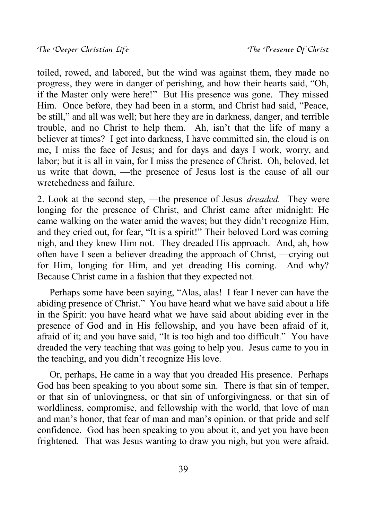toiled, rowed, and labored, but the wind was against them, they made no progress, they were in danger of perishing, and how their hearts said, "Oh, if the Master only were here!" But His presence was gone. They missed Him. Once before, they had been in a storm, and Christ had said, "Peace, be still," and all was well; but here they are in darkness, danger, and terrible trouble, and no Christ to help them. Ah, isn't that the life of many a believer at times? I get into darkness, I have committed sin, the cloud is on me, I miss the face of Jesus; and for days and days I work, worry, and labor; but it is all in vain, for I miss the presence of Christ. Oh, beloved, let us write that down, —the presence of Jesus lost is the cause of all our wretchedness and failure.

2. Look at the second step, —the presence of Jesus *dreaded.* They were longing for the presence of Christ, and Christ came after midnight: He came walking on the water amid the waves; but they didn't recognize Him, and they cried out, for fear, "It is a spirit!" Their beloved Lord was coming nigh, and they knew Him not. They dreaded His approach. And, ah, how often have I seen a believer dreading the approach of Christ, —crying out for Him, longing for Him, and yet dreading His coming. And why? Because Christ came in a fashion that they expected not.

Perhaps some have been saying, "Alas, alas! I fear I never can have the abiding presence of Christ." You have heard what we have said about a life in the Spirit: you have heard what we have said about abiding ever in the presence of God and in His fellowship, and you have been afraid of it, afraid of it; and you have said, "It is too high and too difficult." You have dreaded the very teaching that was going to help you. Jesus came to you in the teaching, and you didn't recognize His love.

Or, perhaps, He came in a way that you dreaded His presence. Perhaps God has been speaking to you about some sin. There is that sin of temper, or that sin of unlovingness, or that sin of unforgivingness, or that sin of worldliness, compromise, and fellowship with the world, that love of man and man's honor, that fear of man and man's opinion, or that pride and self confidence. God has been speaking to you about it, and yet you have been frightened. That was Jesus wanting to draw you nigh, but you were afraid.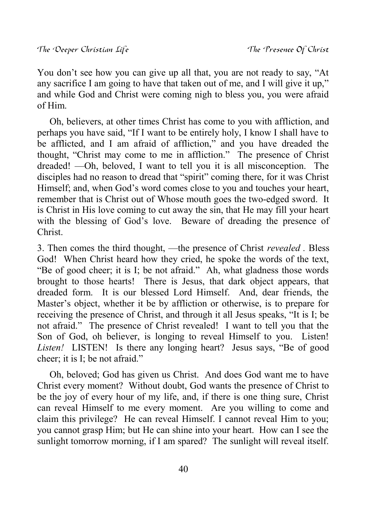You don't see how you can give up all that, you are not ready to say, "At any sacrifice I am going to have that taken out of me, and I will give it up," and while God and Christ were coming nigh to bless you, you were afraid of Him.

Oh, believers, at other times Christ has come to you with affliction, and perhaps you have said, "If I want to be entirely holy, I know I shall have to be afflicted, and I am afraid of affliction," and you have dreaded the thought, "Christ may come to me in affliction." The presence of Christ dreaded! —Oh, beloved, I want to tell you it is all misconception. The disciples had no reason to dread that "spirit" coming there, for it was Christ Himself; and, when God's word comes close to you and touches your heart, remember that is Christ out of Whose mouth goes the two-edged sword. It is Christ in His love coming to cut away the sin, that He may fill your heart with the blessing of God's love. Beware of dreading the presence of Christ.

3. Then comes the third thought, —the presence of Christ *revealed .* Bless God! When Christ heard how they cried, he spoke the words of the text, "Be of good cheer; it is I; be not afraid." Ah, what gladness those words brought to those hearts! There is Jesus, that dark object appears, that dreaded form. It is our blessed Lord Himself. And, dear friends, the Master's object, whether it be by affliction or otherwise, is to prepare for receiving the presence of Christ, and through it all Jesus speaks, "It is I; be not afraid." The presence of Christ revealed! I want to tell you that the Son of God, oh believer, is longing to reveal Himself to you. Listen! *Listen!* LISTEN! Is there any longing heart? Jesus says, "Be of good cheer; it is I; be not afraid."

Oh, beloved; God has given us Christ. And does God want me to have Christ every moment? Without doubt, God wants the presence of Christ to be the joy of every hour of my life, and, if there is one thing sure, Christ can reveal Himself to me every moment. Are you willing to come and claim this privilege? He can reveal Himself. I cannot reveal Him to you; you cannot grasp Him; but He can shine into your heart. How can I see the sunlight tomorrow morning, if I am spared? The sunlight will reveal itself.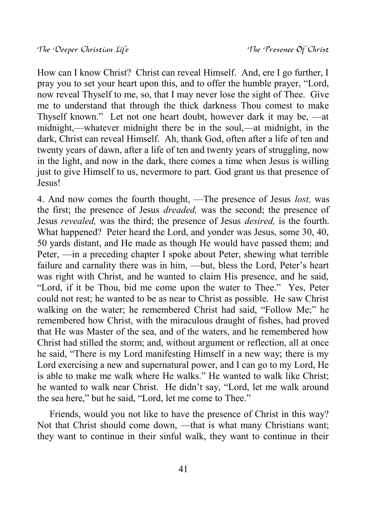How can I know Christ? Christ can reveal Himself. And, ere I go further, I pray you to set your heart upon this, and to offer the humble prayer, "Lord, now reveal Thyself to me, so, that I may never lose the sight of Thee. Give me to understand that through the thick darkness Thou comest to make Thyself known." Let not one heart doubt, however dark it may be, —at midnight,—whatever midnight there be in the soul,—at midnight, in the dark, Christ can reveal Himself. Ah, thank God, often after a life of ten and twenty years of dawn, after a life of ten and twenty years of struggling, now in the light, and now in the dark, there comes a time when Jesus is willing just to give Himself to us, nevermore to part. God grant us that presence of Jesus!

4. And now comes the fourth thought, —The presence of Jesus *lost,* was the first; the presence of Jesus *dreaded,* was the second; the presence of Jesus *revealed,* was the third; the presence of Jesus *desired,* is the fourth. What happened? Peter heard the Lord, and yonder was Jesus, some 30, 40, 50 yards distant, and He made as though He would have passed them; and Peter, —in a preceding chapter I spoke about Peter, shewing what terrible failure and carnality there was in him, —but, bless the Lord, Peter's heart was right with Christ, and he wanted to claim His presence, and he said, "Lord, if it be Thou, bid me come upon the water to Thee." Yes, Peter could not rest; he wanted to be as near to Christ as possible. He saw Christ walking on the water; he remembered Christ had said, "Follow Me;" he remembered how Christ, with the miraculous draught of fishes, had proved that He was Master of the sea, and of the waters, and he remembered how Christ had stilled the storm; and, without argument or reflection, all at once he said, "There is my Lord manifesting Himself in a new way; there is my Lord exercising a new and supernatural power, and I can go to my Lord, He is able to make me walk where He walks." He wanted to walk like Christ; he wanted to walk near Christ. He didn't say, "Lord, let me walk around the sea here," but he said, "Lord, let me come to Thee."

Friends, would you not like to have the presence of Christ in this way? Not that Christ should come down, —that is what many Christians want; they want to continue in their sinful walk, they want to continue in their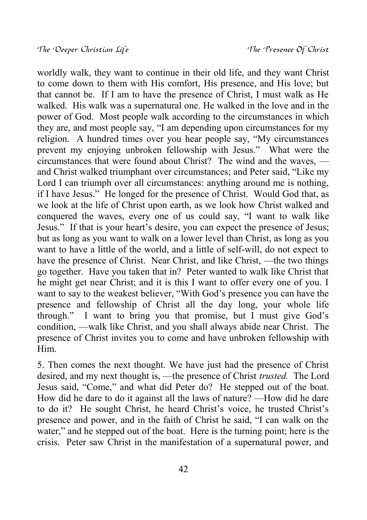worldly walk, they want to continue in their old life, and they want Christ to come down to them with His comfort, His presence, and His love; but that cannot be. If I am to have the presence of Christ, I must walk as He walked. His walk was a supernatural one. He walked in the love and in the power of God. Most people walk according to the circumstances in which they are, and most people say, "I am depending upon circumstances for my religion. A hundred times over you hear people say, "My circumstances prevent my enjoying unbroken fellowship with Jesus." What were the circumstances that were found about Christ? The wind and the waves, and Christ walked triumphant over circumstances; and Peter said, "Like my Lord I can triumph over all circumstances: anything around me is nothing, if I have Jesus." He longed for the presence of Christ. Would God that, as we look at the life of Christ upon earth, as we look how Christ walked and conquered the waves, every one of us could say, "I want to walk like Jesus." If that is your heart's desire, you can expect the presence of Jesus; but as long as you want to walk on a lower level than Christ, as long as you want to have a little of the world, and a little of self-will, do not expect to have the presence of Christ. Near Christ, and like Christ, —the two things go together. Have you taken that in? Peter wanted to walk like Christ that he might get near Christ; and it is this I want to offer every one of you. I want to say to the weakest believer, "With God's presence you can have the presence and fellowship of Christ all the day long, your whole life through." I want to bring you that promise, but I must give God's condition, —walk like Christ, and you shall always abide near Christ. The presence of Christ invites you to come and have unbroken fellowship with Him.

5. Then comes the next thought. We have just had the presence of Christ desired, and my next thought is, —the presence of Christ *trusted.* The Lord Jesus said, "Come," and what did Peter do? He stepped out of the boat. How did he dare to do it against all the laws of nature? —How did he dare to do it? He sought Christ, he heard Christ's voice, he trusted Christ's presence and power, and in the faith of Christ he said, "I can walk on the water," and he stepped out of the boat. Here is the turning point; here is the crisis. Peter saw Christ in the manifestation of a supernatural power, and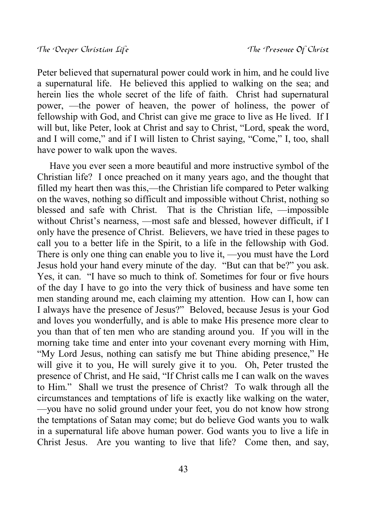Peter believed that supernatural power could work in him, and he could live a supernatural life. He believed this applied to walking on the sea; and herein lies the whole secret of the life of faith. Christ had supernatural power, —the power of heaven, the power of holiness, the power of fellowship with God, and Christ can give me grace to live as He lived. If I will but, like Peter, look at Christ and say to Christ, "Lord, speak the word, and I will come," and if I will listen to Christ saying, "Come," I, too, shall have power to walk upon the waves.

Have you ever seen a more beautiful and more instructive symbol of the Christian life? I once preached on it many years ago, and the thought that filled my heart then was this,—the Christian life compared to Peter walking on the waves, nothing so difficult and impossible without Christ, nothing so blessed and safe with Christ. That is the Christian life, —impossible without Christ's nearness, - most safe and blessed, however difficult, if I only have the presence of Christ. Believers, we have tried in these pages to call you to a better life in the Spirit, to a life in the fellowship with God. There is only one thing can enable you to live it, —you must have the Lord Jesus hold your hand every minute of the day. "But can that be?" you ask. Yes, it can. "I have so much to think of. Sometimes for four or five hours of the day I have to go into the very thick of business and have some ten men standing around me, each claiming my attention. How can I, how can I always have the presence of Jesus?" Beloved, because Jesus is your God and loves you wonderfully, and is able to make His presence more clear to you than that of ten men who are standing around you. If you will in the morning take time and enter into your covenant every morning with Him, "My Lord Jesus, nothing can satisfy me but Thine abiding presence," He will give it to you, He will surely give it to you. Oh, Peter trusted the presence of Christ, and He said, "If Christ calls me I can walk on the waves to Him." Shall we trust the presence of Christ? To walk through all the circumstances and temptations of life is exactly like walking on the water, —you have no solid ground under your feet, you do not know how strong the temptations of Satan may come; but do believe God wants you to walk in a supernatural life above human power. God wants you to live a life in Christ Jesus. Are you wanting to live that life? Come then, and say,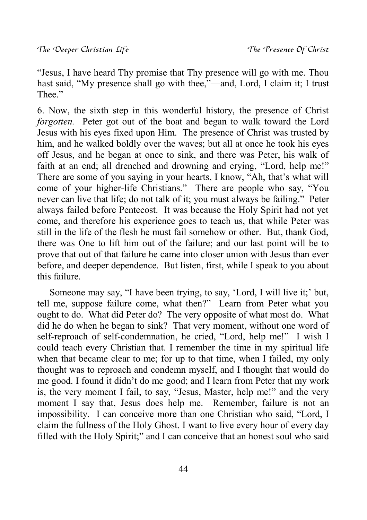"Jesus, I have heard Thy promise that Thy presence will go with me. Thou hast said, "My presence shall go with thee,"—and, Lord, I claim it; I trust Thee."

6. Now, the sixth step in this wonderful history, the presence of Christ *forgotten.* Peter got out of the boat and began to walk toward the Lord Jesus with his eyes fixed upon Him. The presence of Christ was trusted by him, and he walked boldly over the waves; but all at once he took his eyes off Jesus, and he began at once to sink, and there was Peter, his walk of faith at an end; all drenched and drowning and crying, "Lord, help me!" There are some of you saying in your hearts, I know, "Ah, that's what will come of your higher-life Christians." There are people who say, "You never can live that life; do not talk of it; you must always be failing." Peter always failed before Pentecost. It was because the Holy Spirit had not yet come, and therefore his experience goes to teach us, that while Peter was still in the life of the flesh he must fail somehow or other. But, thank God, there was One to lift him out of the failure; and our last point will be to prove that out of that failure he came into closer union with Jesus than ever before, and deeper dependence. But listen, first, while I speak to you about this failure.

Someone may say, "I have been trying, to say, 'Lord, I will live it;' but, tell me, suppose failure come, what then?" Learn from Peter what you ought to do. What did Peter do? The very opposite of what most do. What did he do when he began to sink? That very moment, without one word of self-reproach of self-condemnation, he cried, "Lord, help me!" I wish I could teach every Christian that. I remember the time in my spiritual life when that became clear to me; for up to that time, when I failed, my only thought was to reproach and condemn myself, and I thought that would do me good. I found it didn't do me good; and I learn from Peter that my work is, the very moment I fail, to say, "Jesus, Master, help me!" and the very moment I say that, Jesus does help me. Remember, failure is not an impossibility. I can conceive more than one Christian who said, "Lord, I claim the fullness of the Holy Ghost. I want to live every hour of every day filled with the Holy Spirit;" and I can conceive that an honest soul who said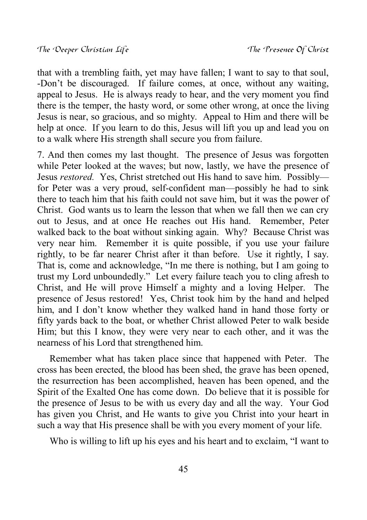that with a trembling faith, yet may have fallen; I want to say to that soul, -Don't be discouraged. If failure comes, at once, without any waiting, appeal to Jesus. He is always ready to hear, and the very moment you find there is the temper, the hasty word, or some other wrong, at once the living Jesus is near, so gracious, and so mighty. Appeal to Him and there will be help at once. If you learn to do this, Jesus will lift you up and lead you on to a walk where His strength shall secure you from failure.

7. And then comes my last thought. The presence of Jesus was forgotten while Peter looked at the waves; but now, lastly, we have the presence of Jesus *restored.* Yes, Christ stretched out His hand to save him. Possibly for Peter was a very proud, self-confident man—possibly he had to sink there to teach him that his faith could not save him, but it was the power of Christ. God wants us to learn the lesson that when we fall then we can cry out to Jesus, and at once He reaches out His hand. Remember, Peter walked back to the boat without sinking again. Why? Because Christ was very near him. Remember it is quite possible, if you use your failure rightly, to be far nearer Christ after it than before. Use it rightly, I say. That is, come and acknowledge, "In me there is nothing, but I am going to trust my Lord unboundedly." Let every failure teach you to cling afresh to Christ, and He will prove Himself a mighty and a loving Helper. The presence of Jesus restored! Yes, Christ took him by the hand and helped him, and I don't know whether they walked hand in hand those forty or fifty yards back to the boat, or whether Christ allowed Peter to walk beside Him; but this I know, they were very near to each other, and it was the nearness of his Lord that strengthened him.

Remember what has taken place since that happened with Peter. The cross has been erected, the blood has been shed, the grave has been opened, the resurrection has been accomplished, heaven has been opened, and the Spirit of the Exalted One has come down. Do believe that it is possible for the presence of Jesus to be with us every day and all the way. Your God has given you Christ, and He wants to give you Christ into your heart in such a way that His presence shall be with you every moment of your life.

Who is willing to lift up his eyes and his heart and to exclaim, "I want to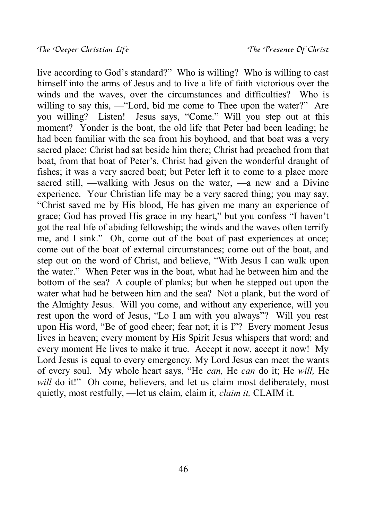live according to God's standard?" Who is willing? Who is willing to cast himself into the arms of Jesus and to live a life of faith victorious over the winds and the waves, over the circumstances and difficulties? Who is willing to say this, — "Lord, bid me come to Thee upon the water?" Are you willing? Listen! Jesus says, "Come." Will you step out at this moment? Yonder is the boat, the old life that Peter had been leading; he had been familiar with the sea from his boyhood, and that boat was a very sacred place; Christ had sat beside him there; Christ had preached from that boat, from that boat of Peter's, Christ had given the wonderful draught of fishes; it was a very sacred boat; but Peter left it to come to a place more sacred still, —walking with Jesus on the water, —a new and a Divine experience. Your Christian life may be a very sacred thing; you may say, "Christ saved me by His blood, He has given me many an experience of grace; God has proved His grace in my heart," but you confess "I haven't got the real life of abiding fellowship; the winds and the waves often terrify me, and I sink." Oh, come out of the boat of past experiences at once; come out of the boat of external circumstances; come out of the boat, and step out on the word of Christ, and believe, "With Jesus I can walk upon the water." When Peter was in the boat, what had he between him and the bottom of the sea? A couple of planks; but when he stepped out upon the water what had he between him and the sea? Not a plank, but the word of the Almighty Jesus. Will you come, and without any experience, will you rest upon the word of Jesus, "Lo I am with you always"? Will you rest upon His word, "Be of good cheer; fear not; it is I"? Every moment Jesus lives in heaven; every moment by His Spirit Jesus whispers that word; and every moment He lives to make it true. Accept it now, accept it now! My Lord Jesus is equal to every emergency. My Lord Jesus can meet the wants of every soul. My whole heart says, "He *can,* He *can* do it; He *will,* He *will* do it!" Oh come, believers, and let us claim most deliberately, most quietly, most restfully, —let us claim, claim it, *claim it,* CLAIM it.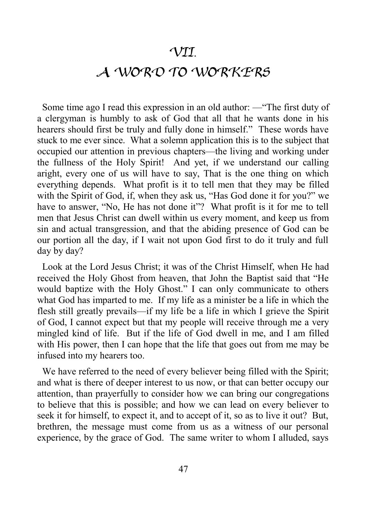### **VII.**

### **A WORD TO WORKERS**

Some time ago I read this expression in an old author: —"The first duty of a clergyman is humbly to ask of God that all that he wants done in his hearers should first be truly and fully done in himself." These words have stuck to me ever since. What a solemn application this is to the subject that occupied our attention in previous chapters—the living and working under the fullness of the Holy Spirit! And yet, if we understand our calling aright, every one of us will have to say, That is the one thing on which everything depends. What profit is it to tell men that they may be filled with the Spirit of God, if, when they ask us, "Has God done it for you?" we have to answer, "No, He has not done it"? What profit is it for me to tell men that Jesus Christ can dwell within us every moment, and keep us from sin and actual transgression, and that the abiding presence of God can be our portion all the day, if I wait not upon God first to do it truly and full day by day?

Look at the Lord Jesus Christ; it was of the Christ Himself, when He had received the Holy Ghost from heaven, that John the Baptist said that "He would baptize with the Holy Ghost." I can only communicate to others what God has imparted to me. If my life as a minister be a life in which the flesh still greatly prevails—if my life be a life in which I grieve the Spirit of God, I cannot expect but that my people will receive through me a very mingled kind of life. But if the life of God dwell in me, and I am filled with His power, then I can hope that the life that goes out from me may be infused into my hearers too.

We have referred to the need of every believer being filled with the Spirit; and what is there of deeper interest to us now, or that can better occupy our attention, than prayerfully to consider how we can bring our congregations to believe that this is possible; and how we can lead on every believer to seek it for himself, to expect it, and to accept of it, so as to live it out? But, brethren, the message must come from us as a witness of our personal experience, by the grace of God. The same writer to whom I alluded, says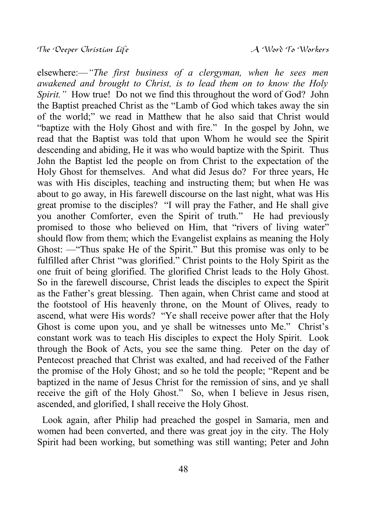elsewhere:—*"The first business of a clergyman, when he sees men awakened and brought to Christ, is to lead them on to know the Holy Spirit.*" How true! Do not we find this throughout the word of God? John the Baptist preached Christ as the "Lamb of God which takes away the sin of the world;" we read in Matthew that he also said that Christ would "baptize with the Holy Ghost and with fire." In the gospel by John, we read that the Baptist was told that upon Whom he would see the Spirit descending and abiding, He it was who would baptize with the Spirit. Thus John the Baptist led the people on from Christ to the expectation of the Holy Ghost for themselves. And what did Jesus do? For three years, He was with His disciples, teaching and instructing them; but when He was about to go away, in His farewell discourse on the last night, what was His great promise to the disciples? "I will pray the Father, and He shall give you another Comforter, even the Spirit of truth." He had previously promised to those who believed on Him, that "rivers of living water" should flow from them; which the Evangelist explains as meaning the Holy Ghost: —"Thus spake He of the Spirit." But this promise was only to be fulfilled after Christ "was glorified." Christ points to the Holy Spirit as the one fruit of being glorified. The glorified Christ leads to the Holy Ghost. So in the farewell discourse, Christ leads the disciples to expect the Spirit as the Father's great blessing. Then again, when Christ came and stood at the footstool of His heavenly throne, on the Mount of Olives, ready to ascend, what were His words? "Ye shall receive power after that the Holy Ghost is come upon you, and ye shall be witnesses unto Me." Christ's constant work was to teach His disciples to expect the Holy Spirit. Look through the Book of Acts, you see the same thing. Peter on the day of Pentecost preached that Christ was exalted, and had received of the Father the promise of the Holy Ghost; and so he told the people; "Repent and be baptized in the name of Jesus Christ for the remission of sins, and ye shall receive the gift of the Holy Ghost." So, when I believe in Jesus risen, ascended, and glorified, I shall receive the Holy Ghost.

Look again, after Philip had preached the gospel in Samaria, men and women had been converted, and there was great joy in the city. The Holy Spirit had been working, but something was still wanting; Peter and John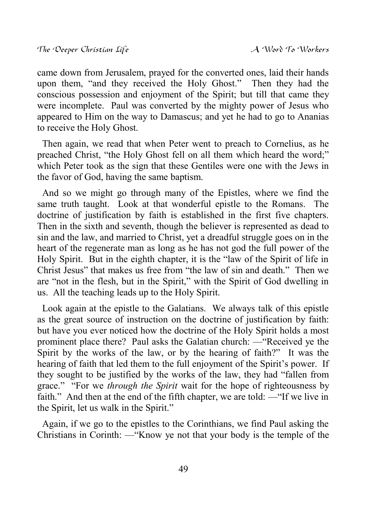came down from Jerusalem, prayed for the converted ones, laid their hands upon them, "and they received the Holy Ghost." Then they had the conscious possession and enjoyment of the Spirit; but till that came they were incomplete. Paul was converted by the mighty power of Jesus who appeared to Him on the way to Damascus; and yet he had to go to Ananias to receive the Holy Ghost.

Then again, we read that when Peter went to preach to Cornelius, as he preached Christ, "the Holy Ghost fell on all them which heard the word;" which Peter took as the sign that these Gentiles were one with the Jews in the favor of God, having the same baptism.

And so we might go through many of the Epistles, where we find the same truth taught. Look at that wonderful epistle to the Romans. The doctrine of justification by faith is established in the first five chapters. Then in the sixth and seventh, though the believer is represented as dead to sin and the law, and married to Christ, yet a dreadful struggle goes on in the heart of the regenerate man as long as he has not god the full power of the Holy Spirit. But in the eighth chapter, it is the "law of the Spirit of life in Christ Jesus" that makes us free from "the law of sin and death." Then we are "not in the flesh, but in the Spirit," with the Spirit of God dwelling in us. All the teaching leads up to the Holy Spirit.

Look again at the epistle to the Galatians. We always talk of this epistle as the great source of instruction on the doctrine of justification by faith: but have you ever noticed how the doctrine of the Holy Spirit holds a most prominent place there? Paul asks the Galatian church: —"Received ye the Spirit by the works of the law, or by the hearing of faith?" It was the hearing of faith that led them to the full enjoyment of the Spirit's power. If they sought to be justified by the works of the law, they had "fallen from grace." "For we *through the Spirit* wait for the hope of righteousness by faith." And then at the end of the fifth chapter, we are told: —"If we live in the Spirit, let us walk in the Spirit."

Again, if we go to the epistles to the Corinthians, we find Paul asking the Christians in Corinth: —"Know ye not that your body is the temple of the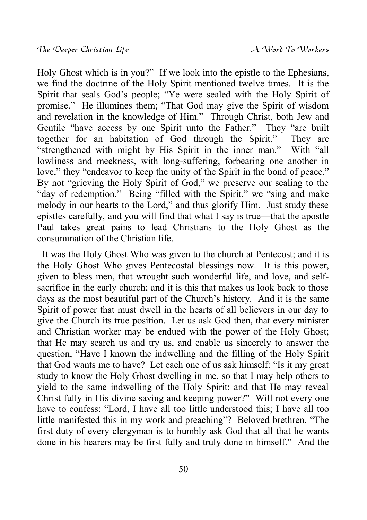Holy Ghost which is in you?" If we look into the epistle to the Ephesians, we find the doctrine of the Holy Spirit mentioned twelve times. It is the Spirit that seals God's people; "Ye were sealed with the Holy Spirit of promise." He illumines them; "That God may give the Spirit of wisdom and revelation in the knowledge of Him." Through Christ, both Jew and Gentile "have access by one Spirit unto the Father." They "are built together for an habitation of God through the Spirit." They are "strengthened with might by His Spirit in the inner man." With "all lowliness and meekness, with long-suffering, forbearing one another in love," they "endeavor to keep the unity of the Spirit in the bond of peace." By not "grieving the Holy Spirit of God," we preserve our sealing to the "day of redemption." Being "filled with the Spirit," we "sing and make melody in our hearts to the Lord," and thus glorify Him. Just study these epistles carefully, and you will find that what I say is true—that the apostle Paul takes great pains to lead Christians to the Holy Ghost as the consummation of the Christian life.

It was the Holy Ghost Who was given to the church at Pentecost; and it is the Holy Ghost Who gives Pentecostal blessings now. It is this power, given to bless men, that wrought such wonderful life, and love, and selfsacrifice in the early church; and it is this that makes us look back to those days as the most beautiful part of the Church's history. And it is the same Spirit of power that must dwell in the hearts of all believers in our day to give the Church its true position. Let us ask God then, that every minister and Christian worker may be endued with the power of the Holy Ghost; that He may search us and try us, and enable us sincerely to answer the question, "Have I known the indwelling and the filling of the Holy Spirit that God wants me to have? Let each one of us ask himself: "Is it my great study to know the Holy Ghost dwelling in me, so that I may help others to yield to the same indwelling of the Holy Spirit; and that He may reveal Christ fully in His divine saving and keeping power?" Will not every one have to confess: "Lord, I have all too little understood this; I have all too little manifested this in my work and preaching"? Beloved brethren, "The first duty of every clergyman is to humbly ask God that all that he wants done in his hearers may be first fully and truly done in himself." And the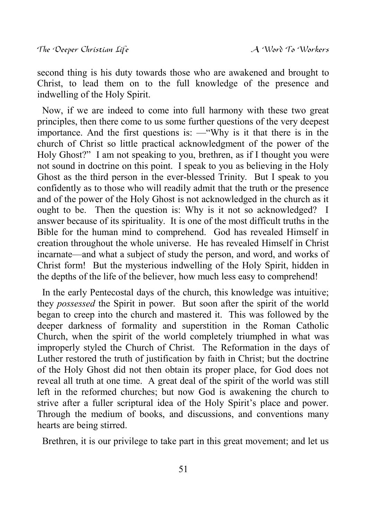second thing is his duty towards those who are awakened and brought to Christ, to lead them on to the full knowledge of the presence and indwelling of the Holy Spirit.

Now, if we are indeed to come into full harmony with these two great principles, then there come to us some further questions of the very deepest importance. And the first questions is: —"Why is it that there is in the church of Christ so little practical acknowledgment of the power of the Holy Ghost?" I am not speaking to you, brethren, as if I thought you were not sound in doctrine on this point. I speak to you as believing in the Holy Ghost as the third person in the ever-blessed Trinity. But I speak to you confidently as to those who will readily admit that the truth or the presence and of the power of the Holy Ghost is not acknowledged in the church as it ought to be. Then the question is: Why is it not so acknowledged? I answer because of its spirituality. It is one of the most difficult truths in the Bible for the human mind to comprehend. God has revealed Himself in creation throughout the whole universe. He has revealed Himself in Christ incarnate—and what a subject of study the person, and word, and works of Christ form! But the mysterious indwelling of the Holy Spirit, hidden in the depths of the life of the believer, how much less easy to comprehend!

In the early Pentecostal days of the church, this knowledge was intuitive; they *possessed* the Spirit in power. But soon after the spirit of the world began to creep into the church and mastered it. This was followed by the deeper darkness of formality and superstition in the Roman Catholic Church, when the spirit of the world completely triumphed in what was improperly styled the Church of Christ. The Reformation in the days of Luther restored the truth of justification by faith in Christ; but the doctrine of the Holy Ghost did not then obtain its proper place, for God does not reveal all truth at one time. A great deal of the spirit of the world was still left in the reformed churches; but now God is awakening the church to strive after a fuller scriptural idea of the Holy Spirit's place and power. Through the medium of books, and discussions, and conventions many hearts are being stirred.

Brethren, it is our privilege to take part in this great movement; and let us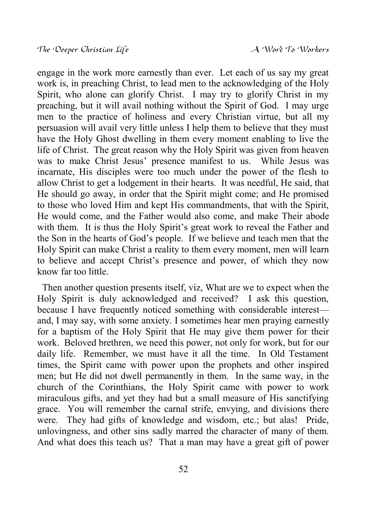engage in the work more earnestly than ever. Let each of us say my great work is, in preaching Christ, to lead men to the acknowledging of the Holy Spirit, who alone can glorify Christ. I may try to glorify Christ in my preaching, but it will avail nothing without the Spirit of God. I may urge men to the practice of holiness and every Christian virtue, but all my persuasion will avail very little unless I help them to believe that they must have the Holy Ghost dwelling in them every moment enabling to live the life of Christ. The great reason why the Holy Spirit was given from heaven was to make Christ Jesus' presence manifest to us. While Jesus was incarnate, His disciples were too much under the power of the flesh to allow Christ to get a lodgement in their hearts. It was needful, He said, that He should go away, in order that the Spirit might come; and He promised to those who loved Him and kept His commandments, that with the Spirit, He would come, and the Father would also come, and make Their abode with them. It is thus the Holy Spirit's great work to reveal the Father and the Son in the hearts of God's people. If we believe and teach men that the Holy Spirit can make Christ a reality to them every moment, men will learn to believe and accept Christ's presence and power, of which they now know far too little.

Then another question presents itself, viz, What are we to expect when the Holy Spirit is duly acknowledged and received? I ask this question, because I have frequently noticed something with considerable interest and, I may say, with some anxiety. I sometimes hear men praying earnestly for a baptism of the Holy Spirit that He may give them power for their work. Beloved brethren, we need this power, not only for work, but for our daily life. Remember, we must have it all the time. In Old Testament times, the Spirit came with power upon the prophets and other inspired men; but He did not dwell permanently in them. In the same way, in the church of the Corinthians, the Holy Spirit came with power to work miraculous gifts, and yet they had but a small measure of His sanctifying grace. You will remember the carnal strife, envying, and divisions there were. They had gifts of knowledge and wisdom, etc.; but alas! Pride, unlovingness, and other sins sadly marred the character of many of them. And what does this teach us? That a man may have a great gift of power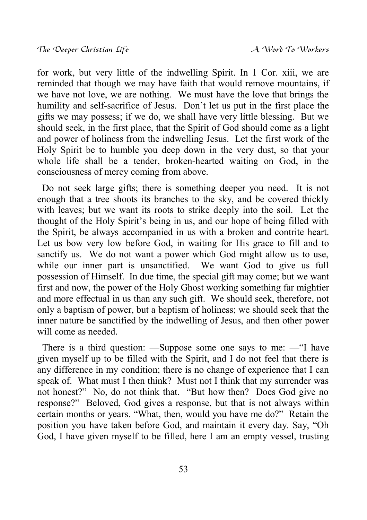for work, but very little of the indwelling Spirit. In 1 Cor. xiii, we are reminded that though we may have faith that would remove mountains, if we have not love, we are nothing. We must have the love that brings the humility and self-sacrifice of Jesus. Don't let us put in the first place the gifts we may possess; if we do, we shall have very little blessing. But we should seek, in the first place, that the Spirit of God should come as a light and power of holiness from the indwelling Jesus. Let the first work of the Holy Spirit be to humble you deep down in the very dust, so that your whole life shall be a tender, broken-hearted waiting on God, in the consciousness of mercy coming from above.

Do not seek large gifts; there is something deeper you need. It is not enough that a tree shoots its branches to the sky, and be covered thickly with leaves; but we want its roots to strike deeply into the soil. Let the thought of the Holy Spirit's being in us, and our hope of being filled with the Spirit, be always accompanied in us with a broken and contrite heart. Let us bow very low before God, in waiting for His grace to fill and to sanctify us. We do not want a power which God might allow us to use, while our inner part is unsanctified. We want God to give us full possession of Himself. In due time, the special gift may come; but we want first and now, the power of the Holy Ghost working something far mightier and more effectual in us than any such gift. We should seek, therefore, not only a baptism of power, but a baptism of holiness; we should seek that the inner nature be sanctified by the indwelling of Jesus, and then other power will come as needed.

There is a third question: —Suppose some one says to me: —"I have given myself up to be filled with the Spirit, and I do not feel that there is any difference in my condition; there is no change of experience that I can speak of. What must I then think? Must not I think that my surrender was not honest?" No, do not think that. "But how then? Does God give no response?" Beloved, God gives a response, but that is not always within certain months or years. "What, then, would you have me do?" Retain the position you have taken before God, and maintain it every day. Say, "Oh God, I have given myself to be filled, here I am an empty vessel, trusting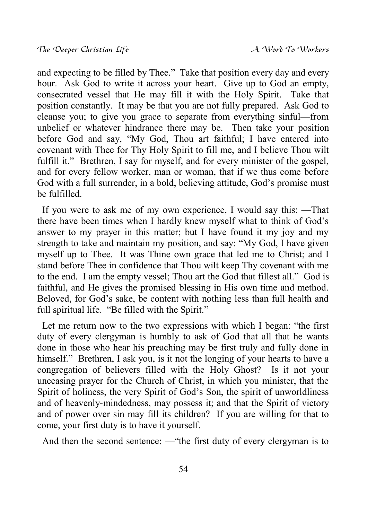and expecting to be filled by Thee." Take that position every day and every hour. Ask God to write it across your heart. Give up to God an empty, consecrated vessel that He may fill it with the Holy Spirit. Take that position constantly. It may be that you are not fully prepared. Ask God to cleanse you; to give you grace to separate from everything sinful—from unbelief or whatever hindrance there may be. Then take your position before God and say, "My God, Thou art faithful; I have entered into covenant with Thee for Thy Holy Spirit to fill me, and I believe Thou wilt fulfill it." Brethren, I say for myself, and for every minister of the gospel, and for every fellow worker, man or woman, that if we thus come before God with a full surrender, in a bold, believing attitude, God's promise must be fulfilled.

If you were to ask me of my own experience, I would say this: —That there have been times when I hardly knew myself what to think of God's answer to my prayer in this matter; but I have found it my joy and my strength to take and maintain my position, and say: "My God, I have given myself up to Thee. It was Thine own grace that led me to Christ; and I stand before Thee in confidence that Thou wilt keep Thy covenant with me to the end. I am the empty vessel; Thou art the God that fillest all." God is faithful, and He gives the promised blessing in His own time and method. Beloved, for God's sake, be content with nothing less than full health and full spiritual life. "Be filled with the Spirit."

Let me return now to the two expressions with which I began: "the first duty of every clergyman is humbly to ask of God that all that he wants done in those who hear his preaching may be first truly and fully done in himself." Brethren, I ask you, is it not the longing of your hearts to have a congregation of believers filled with the Holy Ghost? Is it not your unceasing prayer for the Church of Christ, in which you minister, that the Spirit of holiness, the very Spirit of God's Son, the spirit of unworldliness and of heavenly-mindedness, may possess it; and that the Spirit of victory and of power over sin may fill its children? If you are willing for that to come, your first duty is to have it yourself.

And then the second sentence: —"the first duty of every clergyman is to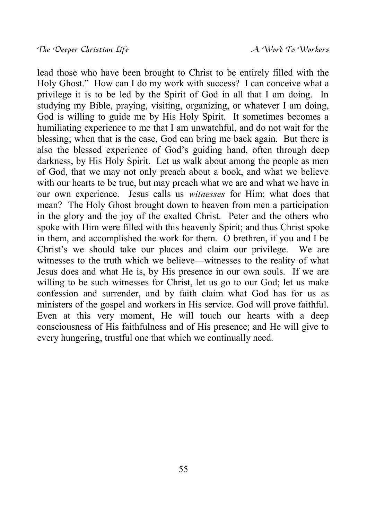lead those who have been brought to Christ to be entirely filled with the Holy Ghost." How can I do my work with success? I can conceive what a privilege it is to be led by the Spirit of God in all that I am doing. In studying my Bible, praying, visiting, organizing, or whatever I am doing, God is willing to guide me by His Holy Spirit. It sometimes becomes a humiliating experience to me that I am unwatchful, and do not wait for the blessing; when that is the case, God can bring me back again. But there is also the blessed experience of God's guiding hand, often through deep darkness, by His Holy Spirit. Let us walk about among the people as men of God, that we may not only preach about a book, and what we believe with our hearts to be true, but may preach what we are and what we have in our own experience. Jesus calls us *witnesses* for Him; what does that mean? The Holy Ghost brought down to heaven from men a participation in the glory and the joy of the exalted Christ. Peter and the others who spoke with Him were filled with this heavenly Spirit; and thus Christ spoke in them, and accomplished the work for them. O brethren, if you and I be Christ's we should take our places and claim our privilege. We are witnesses to the truth which we believe—witnesses to the reality of what Jesus does and what He is, by His presence in our own souls. If we are willing to be such witnesses for Christ, let us go to our God; let us make confession and surrender, and by faith claim what God has for us as ministers of the gospel and workers in His service. God will prove faithful. Even at this very moment, He will touch our hearts with a deep consciousness of His faithfulness and of His presence; and He will give to every hungering, trustful one that which we continually need.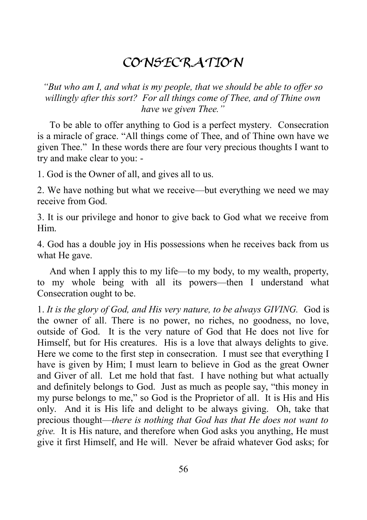### **CONSECRATION**

*"But who am I, and what is my people, that we should be able to offer so willingly after this sort? For all things come of Thee, and of Thine own have we given Thee."*

To be able to offer anything to God is a perfect mystery. Consecration is a miracle of grace. "All things come of Thee, and of Thine own have we given Thee." In these words there are four very precious thoughts I want to try and make clear to you: -

1. God is the Owner of all, and gives all to us.

2. We have nothing but what we receive—but everything we need we may receive from God.

3. It is our privilege and honor to give back to God what we receive from Him.

4. God has a double joy in His possessions when he receives back from us what He gave.

And when I apply this to my life—to my body, to my wealth, property, to my whole being with all its powers—then I understand what Consecration ought to be.

1. *It is the glory of God, and His very nature, to be always GIVING.* God is the owner of all. There is no power, no riches, no goodness, no love, outside of God. It is the very nature of God that He does not live for Himself, but for His creatures. His is a love that always delights to give. Here we come to the first step in consecration. I must see that everything I have is given by Him; I must learn to believe in God as the great Owner and Giver of all. Let me hold that fast. I have nothing but what actually and definitely belongs to God. Just as much as people say, "this money in my purse belongs to me," so God is the Proprietor of all. It is His and His only. And it is His life and delight to be always giving. Oh, take that precious thought—*there is nothing that God has that He does not want to give.* It is His nature, and therefore when God asks you anything, He must give it first Himself, and He will. Never be afraid whatever God asks; for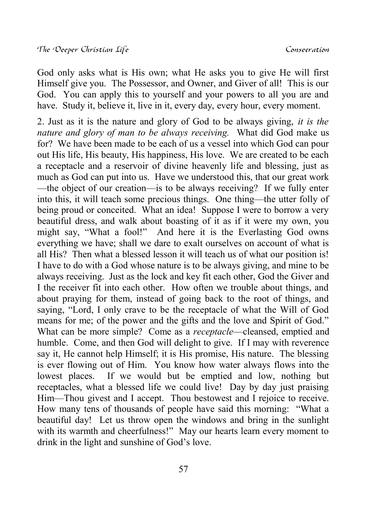God only asks what is His own; what He asks you to give He will first Himself give you. The Possessor, and Owner, and Giver of all! This is our God. You can apply this to yourself and your powers to all you are and have. Study it, believe it, live in it, every day, every hour, every moment.

2. Just as it is the nature and glory of God to be always giving, *it is the nature and glory of man to be always receiving.* What did God make us for? We have been made to be each of us a vessel into which God can pour out His life, His beauty, His happiness, His love. We are created to be each a receptacle and a reservoir of divine heavenly life and blessing, just as much as God can put into us. Have we understood this, that our great work —the object of our creation—is to be always receiving? If we fully enter into this, it will teach some precious things. One thing—the utter folly of being proud or conceited. What an idea! Suppose I were to borrow a very beautiful dress, and walk about boasting of it as if it were my own, you might say, "What a fool!" And here it is the Everlasting God owns everything we have; shall we dare to exalt ourselves on account of what is all His? Then what a blessed lesson it will teach us of what our position is! I have to do with a God whose nature is to be always giving, and mine to be always receiving. Just as the lock and key fit each other, God the Giver and I the receiver fit into each other. How often we trouble about things, and about praying for them, instead of going back to the root of things, and saying, "Lord, I only crave to be the receptacle of what the Will of God means for me; of the power and the gifts and the love and Spirit of God." What can be more simple? Come as a *receptacle*—cleansed, emptied and humble. Come, and then God will delight to give. If I may with reverence say it, He cannot help Himself; it is His promise, His nature. The blessing is ever flowing out of Him. You know how water always flows into the lowest places. If we would but be emptied and low, nothing but receptacles, what a blessed life we could live! Day by day just praising Him—Thou givest and I accept. Thou bestowest and I rejoice to receive. How many tens of thousands of people have said this morning: "What a beautiful day! Let us throw open the windows and bring in the sunlight with its warmth and cheerfulness!" May our hearts learn every moment to drink in the light and sunshine of God's love.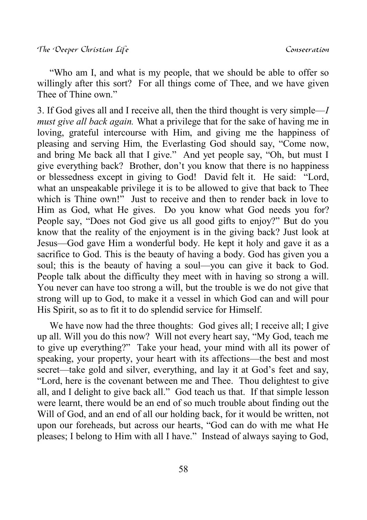"Who am I, and what is my people, that we should be able to offer so willingly after this sort? For all things come of Thee, and we have given Thee of Thine own."

3. If God gives all and I receive all, then the third thought is very simple—*I must give all back again.* What a privilege that for the sake of having me in loving, grateful intercourse with Him, and giving me the happiness of pleasing and serving Him, the Everlasting God should say, "Come now, and bring Me back all that I give." And yet people say, "Oh, but must I give everything back? Brother, don't you know that there is no happiness or blessedness except in giving to God! David felt it. He said: "Lord, what an unspeakable privilege it is to be allowed to give that back to Thee which is Thine own!" Just to receive and then to render back in love to Him as God, what He gives. Do you know what God needs you for? People say, "Does not God give us all good gifts to enjoy?" But do you know that the reality of the enjoyment is in the giving back? Just look at Jesus—God gave Him a wonderful body. He kept it holy and gave it as a sacrifice to God. This is the beauty of having a body. God has given you a soul; this is the beauty of having a soul—you can give it back to God. People talk about the difficulty they meet with in having so strong a will. You never can have too strong a will, but the trouble is we do not give that strong will up to God, to make it a vessel in which God can and will pour His Spirit, so as to fit it to do splendid service for Himself.

We have now had the three thoughts: God gives all; I receive all; I give up all. Will you do this now? Will not every heart say, "My God, teach me to give up everything?" Take your head, your mind with all its power of speaking, your property, your heart with its affections—the best and most secret—take gold and silver, everything, and lay it at God's feet and say, "Lord, here is the covenant between me and Thee. Thou delightest to give all, and I delight to give back all." God teach us that. If that simple lesson were learnt, there would be an end of so much trouble about finding out the Will of God, and an end of all our holding back, for it would be written, not upon our foreheads, but across our hearts, "God can do with me what He pleases; I belong to Him with all I have." Instead of always saying to God,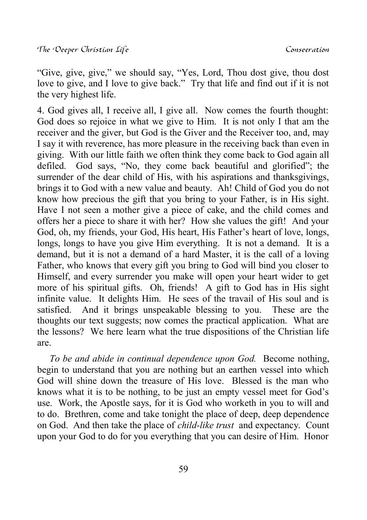"Give, give, give," we should say, "Yes, Lord, Thou dost give, thou dost love to give, and I love to give back." Try that life and find out if it is not the very highest life.

4. God gives all, I receive all, I give all. Now comes the fourth thought: God does so rejoice in what we give to Him. It is not only I that am the receiver and the giver, but God is the Giver and the Receiver too, and, may I say it with reverence, has more pleasure in the receiving back than even in giving. With our little faith we often think they come back to God again all defiled. God says, "No, they come back beautiful and glorified"; the surrender of the dear child of His, with his aspirations and thanksgivings, brings it to God with a new value and beauty. Ah! Child of God you do not know how precious the gift that you bring to your Father, is in His sight. Have I not seen a mother give a piece of cake, and the child comes and offers her a piece to share it with her? How she values the gift! And your God, oh, my friends, your God, His heart, His Father's heart of love, longs, longs, longs to have you give Him everything. It is not a demand. It is a demand, but it is not a demand of a hard Master, it is the call of a loving Father, who knows that every gift you bring to God will bind you closer to Himself, and every surrender you make will open your heart wider to get more of his spiritual gifts. Oh, friends! A gift to God has in His sight infinite value. It delights Him. He sees of the travail of His soul and is satisfied. And it brings unspeakable blessing to you. These are the thoughts our text suggests; now comes the practical application. What are the lessons? We here learn what the true dispositions of the Christian life are.

*To be and abide in continual dependence upon God.* Become nothing, begin to understand that you are nothing but an earthen vessel into which God will shine down the treasure of His love. Blessed is the man who knows what it is to be nothing, to be just an empty vessel meet for God's use. Work, the Apostle says, for it is God who worketh in you to will and to do. Brethren, come and take tonight the place of deep, deep dependence on God. And then take the place of *child-like trust* and expectancy. Count upon your God to do for you everything that you can desire of Him. Honor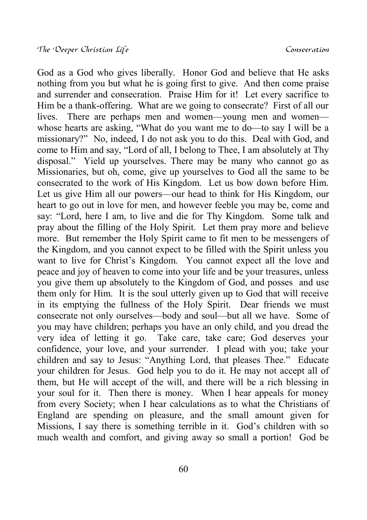God as a God who gives liberally. Honor God and believe that He asks nothing from you but what he is going first to give. And then come praise and surrender and consecration. Praise Him for it! Let every sacrifice to Him be a thank-offering. What are we going to consecrate? First of all our lives. There are perhaps men and women—young men and women whose hearts are asking, "What do you want me to do—to say I will be a missionary?" No, indeed, I do not ask you to do this. Deal with God, and come to Him and say, "Lord of all, I belong to Thee, I am absolutely at Thy disposal." Yield up yourselves. There may be many who cannot go as Missionaries, but oh, come, give up yourselves to God all the same to be consecrated to the work of His Kingdom. Let us bow down before Him. Let us give Him all our powers—our head to think for His Kingdom, our heart to go out in love for men, and however feeble you may be, come and say: "Lord, here I am, to live and die for Thy Kingdom. Some talk and pray about the filling of the Holy Spirit. Let them pray more and believe more. But remember the Holy Spirit came to fit men to be messengers of the Kingdom, and you cannot expect to be filled with the Spirit unless you want to live for Christ's Kingdom. You cannot expect all the love and peace and joy of heaven to come into your life and be your treasures, unless you give them up absolutely to the Kingdom of God, and posses and use them only for Him. It is the soul utterly given up to God that will receive in its emptying the fullness of the Holy Spirit. Dear friends we must consecrate not only ourselves—body and soul—but all we have. Some of you may have children; perhaps you have an only child, and you dread the very idea of letting it go. Take care, take care; God deserves your confidence, your love, and your surrender. I plead with you; take your children and say to Jesus: "Anything Lord, that pleases Thee." Educate your children for Jesus. God help you to do it. He may not accept all of them, but He will accept of the will, and there will be a rich blessing in your soul for it. Then there is money. When I hear appeals for money from every Society; when I hear calculations as to what the Christians of England are spending on pleasure, and the small amount given for Missions, I say there is something terrible in it. God's children with so much wealth and comfort, and giving away so small a portion! God be